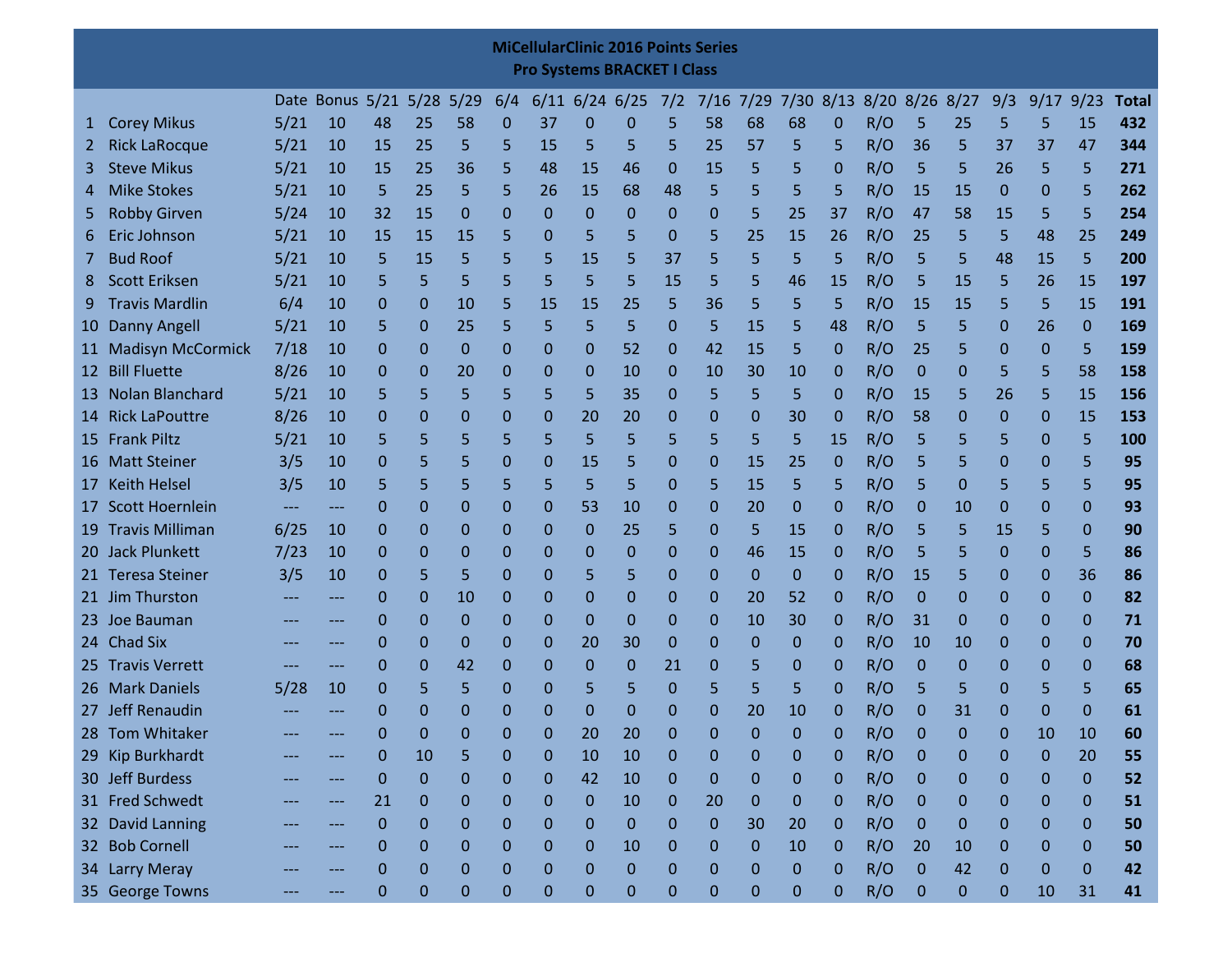|                 |                                                                                                                                                                                                                                                                                                                                                                                           |      |                           |             |          |    |              |                | <b>MiCellularClinic 2016 Points Series</b><br><b>Pro Systems BRACKET I Class</b> |           |                  |                |              |                |              |     |                  |    |                  |              |              |              |
|-----------------|-------------------------------------------------------------------------------------------------------------------------------------------------------------------------------------------------------------------------------------------------------------------------------------------------------------------------------------------------------------------------------------------|------|---------------------------|-------------|----------|----|--------------|----------------|----------------------------------------------------------------------------------|-----------|------------------|----------------|--------------|----------------|--------------|-----|------------------|----|------------------|--------------|--------------|--------------|
|                 |                                                                                                                                                                                                                                                                                                                                                                                           |      | Date Bonus 5/21 5/28 5/29 |             |          |    | 6/4          |                | $6/11$ 6/24 6/25                                                                 |           | 7/2              | 7/16           |              | 7/29 7/30 8/13 |              |     | 8/20 8/26 8/27   |    | 9/3              | 9/17         | 9/23         | <b>Total</b> |
| т.              | <b>Corey Mikus</b>                                                                                                                                                                                                                                                                                                                                                                        | 5/21 | 10                        | 48          | 25       | 58 | 0            | 37             | 0                                                                                | 0         | 5                | 58             | 68           | 68             | 0            | R/O | 5                | 25 | 5                | 5            | 15           | 432          |
| 2               | <b>Rick LaRocque</b>                                                                                                                                                                                                                                                                                                                                                                      | 5/21 | 10                        | 15          | 25       | 5  | 5            | 15             | 5                                                                                | 5         | 5                | 25             | 57           | 5              | 5            | R/O | 36               | 5  | 37               | 37           | 47           | 344          |
|                 | <b>Steve Mikus</b>                                                                                                                                                                                                                                                                                                                                                                        | 5/21 | 10                        | 15          | 25       | 36 | 5            | 48             | 15                                                                               | 46        | $\mathbf 0$      | 15             | 5            | 5              | 0            | R/O | 5                | 5  | 26               | 5            | 5            | 271          |
|                 | <b>Mike Stokes</b>                                                                                                                                                                                                                                                                                                                                                                        | 5/21 | 10                        | 5           | 25       | 5  | 5            | 26             | 15                                                                               | 68        | 48               | 5              | 5            | 5              | 5            | R/O | <b>15</b>        | 15 | $\mathbf 0$      | 0            | 5            | 262          |
| 5               | <b>Robby Girven</b>                                                                                                                                                                                                                                                                                                                                                                       | 5/24 | 10                        | 32          | 15       | 0  | 0            | 0              | $\mathbf 0$                                                                      | 0         | 0                | $\mathbf{0}$   | 5            | 25             | 37           | R/O | 47               | 58 | 15               | 5            | 5            | 254          |
| b               | Eric Johnson                                                                                                                                                                                                                                                                                                                                                                              | 5/21 | 10                        | 15          | 15       | 15 | 5            | 0              | 5                                                                                | 5         | 0                | 5              | 25           | 15             | 26           | R/O | 25               | 5  | 5                | 48           | 25           | 249          |
|                 | <b>Bud Roof</b>                                                                                                                                                                                                                                                                                                                                                                           | 5/21 | 10                        | 5           | 15       | 5  | 5            | 5              | 15                                                                               | 5         | 37               | 5              | 5            | 5              | 5            | R/O | 5                | 5  | 48               | 15           | 5            | 200          |
|                 | <b>Scott Eriksen</b>                                                                                                                                                                                                                                                                                                                                                                      | 5/21 | 10                        | 5           | 5        | 5  | 5            | 5              | 5                                                                                | 5         | 15               | 5              | 5            | 46             | 15           | R/O | 5                | 15 | 5                | 26           | 15           | 197          |
| 9               | <b>Travis Mardlin</b>                                                                                                                                                                                                                                                                                                                                                                     | 6/4  | 10                        | 0           | 0        | 10 | 5            | 15             | 15                                                                               | 25        | 5                | 36             | 5            | 5              | 5            | R/O | 15               | 15 | 5                | 5            | 15           | 191          |
| 10 <sub>1</sub> | <b>Danny Angell</b>                                                                                                                                                                                                                                                                                                                                                                       | 5/21 | 10                        | 5           | 0        | 25 | 5            | 5              | 5                                                                                | 5         | $\mathbf 0$      | 5              | 15           | 5              | 48           | R/O | 5                | 5  | 0                | 26           | $\mathbf 0$  | 169          |
|                 | 5<br>R/O<br>7/18<br>52<br>42<br>15<br>5<br>0<br>10<br>0<br>0<br>0<br>0<br>0<br>0<br>25<br>5<br>0<br>0<br>0<br><b>Bill Fluette</b><br>R/O<br>8/26<br>10<br>0<br>30<br>5<br>5<br>58<br>0<br>20<br>0<br>0<br>10<br>0<br>10<br>10<br>0<br>0<br>0<br>0<br>5<br>Nolan Blanchard<br>5/21<br>5<br>5<br>5<br>5<br>5<br>35<br>5<br>5<br>R/O<br>15<br>10<br>5<br>0<br><b>15</b><br>5<br>26<br>5<br>0 |      |                           |             |          |    |              |                |                                                                                  |           |                  |                |              |                |              | 159 |                  |    |                  |              |              |              |
| 12              | 11 Madisyn McCormick                                                                                                                                                                                                                                                                                                                                                                      |      |                           |             |          |    |              |                |                                                                                  |           |                  |                |              |                |              | 158 |                  |    |                  |              |              |              |
| 13              | <b>Rick LaPouttre</b><br>8/26<br>0<br>R/O<br>15<br>10<br>0<br>0<br>0<br>20<br>20<br>0<br>0<br>0<br>30<br>58<br>0<br>0<br>0<br>0<br>0                                                                                                                                                                                                                                                      |      |                           |             |          |    |              |                |                                                                                  |           |                  |                |              |                |              | 156 |                  |    |                  |              |              |              |
| 14              |                                                                                                                                                                                                                                                                                                                                                                                           |      |                           |             |          |    |              |                |                                                                                  |           |                  |                |              |                |              |     |                  |    |                  |              |              | 153          |
| 15              | <b>Frank Piltz</b>                                                                                                                                                                                                                                                                                                                                                                        | 5/21 | 10                        | 5           | 5        | 5  | 5            | 5              | 5                                                                                | 5         | 5                | 5              | 5            | 5              | <b>15</b>    | R/O | 5                | 5  | 5                | 0            | 5            | 100          |
|                 | 16 Matt Steiner                                                                                                                                                                                                                                                                                                                                                                           | 3/5  | 10                        | 0           | 5        | 5  | 0            | 0              | <b>15</b>                                                                        | 5         | 0                | 0              | 15           | 25             | 0            | R/O | 5                | 5  | 0                | 0            | 5            | 95           |
| 17              | <b>Keith Helsel</b>                                                                                                                                                                                                                                                                                                                                                                       | 3/5  | 10                        | 5           | 5        | 5  | 5            | 5              | 5                                                                                | 5         | $\mathbf 0$      | 5              | 15           | 5              | 5            | R/O | 5                | 0  | 5                | 5            | 5            | 95           |
| 17              | <b>Scott Hoernlein</b>                                                                                                                                                                                                                                                                                                                                                                    | ---  | ---                       | 0           | 0        | 0  | 0            | 0              | 53                                                                               | 10        | 0                | 0              | 20           | $\mathbf{0}$   | 0            | R/O | 0                | 10 | 0                | 0            | $\mathbf 0$  | 93           |
| 19              | <b>Travis Milliman</b>                                                                                                                                                                                                                                                                                                                                                                    | 6/25 | 10                        | 0           | 0        | 0  | 0            | 0              | 0                                                                                | 25        | 5                | $\mathbf 0$    | 5            | 15             | 0            | R/O | 5                | 5  | 15               | 5            | $\mathbf 0$  | 90           |
|                 | 20 Jack Plunkett                                                                                                                                                                                                                                                                                                                                                                          | 7/23 | 10                        | 0           | 0        | 0  | 0            | 0              | 0                                                                                | 0         | 0                | 0              | 46           | <b>15</b>      | 0            | R/O | 5                | 5  | 0                | 0            | 5            | 86           |
|                 | 21 Teresa Steiner                                                                                                                                                                                                                                                                                                                                                                         | 3/5  | 10                        | 0           | 5        | 5  | 0            | 0              | 5                                                                                | 5         | 0                | 0              | 0            | 0              | 0            | R/O | <b>15</b>        | 5  | 0                | 0            | 36           | 86           |
|                 | 21 Jim Thurston                                                                                                                                                                                                                                                                                                                                                                           | ---  | ---                       | 0           | 0        | 10 | 0            | 0              | $\mathbf 0$                                                                      | 0         | $\mathbf 0$      | 0              | 20           | 52             | 0            | R/O | 0                | 0  | 0                | 0            | $\mathbf 0$  | 82           |
|                 | 23 Joe Bauman                                                                                                                                                                                                                                                                                                                                                                             |      | ---                       | 0           | 0        | 0  | 0            | 0              | $\mathbf{0}$                                                                     | 0         | 0                | 0              | 10           | 30             | 0            | R/O | 31               | 0  | 0                | 0            | 0            | 71           |
| 24.             | <b>Chad Six</b>                                                                                                                                                                                                                                                                                                                                                                           |      | ---                       | 0           | 0        | 0  | 0            | 0              | 20                                                                               | 30        | $\mathbf 0$      | $\mathbf{0}$   | 0            | 0              | 0            | R/O | 10               | 10 | 0                | 0            | $\mathbf 0$  | 70           |
|                 | 25 Travis Verrett                                                                                                                                                                                                                                                                                                                                                                         |      | ---                       | 0           | 0        | 42 | 0            | 0              | 0                                                                                | 0         | 21               | 0              | 5            | 0              | 0            | R/O | 0                | 0  | 0                | 0            | $\mathbf 0$  | 68           |
|                 | 26 Mark Daniels                                                                                                                                                                                                                                                                                                                                                                           | 5/28 | 10                        | 0           | 5        | 5  | 0            | 0              | 5                                                                                | 5         | $\Omega$         | 5              | 5            | 5              | 0            | R/O | 5                | 5  | 0                | 5            | 5            | 65           |
|                 | 27 Jeff Renaudin                                                                                                                                                                                                                                                                                                                                                                          |      |                           | 0           | 0        | 0  | 0            | 0              | $\mathbf 0$                                                                      | 0         | $\Omega$         | 0              | 20           | 10             | 0            | R/O | 0                | 31 | 0                | 0            | 0            | 61           |
|                 | 28 Tom Whitaker                                                                                                                                                                                                                                                                                                                                                                           |      |                           | 0           | 0        | 0  | $\mathbf{0}$ | $\overline{0}$ | 20                                                                               | 20        | <sup>0</sup>     | $\overline{0}$ | 0            | 0              | O            | R/O | <sup>0</sup>     | O  | 0                | 10           | 10           | 60           |
|                 | 29 Kip Burkhardt                                                                                                                                                                                                                                                                                                                                                                          |      |                           | 0           | 10       | 5  | $\mathbf{0}$ | $\mathbf 0$    | 10                                                                               | 10        | $\boldsymbol{0}$ | $\mathbf 0$    | $\mathbf 0$  | 0              | $\mathbf{0}$ | R/O | $\mathbf 0$      | 0  | $\mathbf 0$      | $\mathbf{0}$ | 20           | 55           |
|                 | 30 Jeff Burdess                                                                                                                                                                                                                                                                                                                                                                           |      |                           | $\mathbf 0$ | 0        | 0  | $\mathbf{0}$ | $\mathbf{0}$   | 42                                                                               | 10        | $\mathbf{0}$     | $\mathbf{0}$   | $\mathbf{0}$ | 0              | $\mathbf{0}$ | R/O | $\mathbf 0$      | 0  | 0                | 0            | $\pmb{0}$    | 52           |
|                 | 31 Fred Schwedt                                                                                                                                                                                                                                                                                                                                                                           |      | ---                       | 21          | 0        | 0  | 0            | $\mathbf 0$    | $\mathbf{0}$                                                                     | 10        | 0                | 20             | $\mathbf{0}$ | $\mathbf{0}$   | 0            | R/O | $\mathbf 0$      | 0  | $\mathbf 0$      | 0            | $\mathbf 0$  | 51           |
|                 | 32 David Lanning                                                                                                                                                                                                                                                                                                                                                                          |      |                           | 0           | $\Omega$ | 0  | 0            | 0              | 0                                                                                | 0         | 0                | $\mathbf{0}$   | 30           | 20             | 0            | R/O | $\Omega$         | 0  | 0                | 0            | $\mathbf 0$  | 50           |
|                 | 32 Bob Cornell                                                                                                                                                                                                                                                                                                                                                                            |      |                           | 0           | $\Omega$ | 0  | 0            | 0              | 0                                                                                | 10        | 0                | $\mathbf{0}$   | $\mathbf{0}$ | 10             | 0            | R/O | 20               | 10 | 0                | 0            | $\mathbf{0}$ | 50           |
|                 | 34 Larry Meray                                                                                                                                                                                                                                                                                                                                                                            |      |                           | 0           | 0        | 0  | $\mathbf{0}$ | $\mathbf{0}$   | 0                                                                                | 0         | 0                | $\mathbf{0}$   | 0            | $\mathbf 0$    | 0            | R/O | $\mathbf 0$      | 42 | $\mathbf 0$      | 0            | $\mathbf 0$  | 42           |
|                 | 35 George Towns                                                                                                                                                                                                                                                                                                                                                                           |      |                           | 0           | 0        | 0  | $\mathbf{0}$ | $\mathbf{0}$   | 0                                                                                | $\pmb{0}$ | $\mathbf 0$      | $\pmb{0}$      | $\mathbf{0}$ | 0              | 0            | R/O | $\boldsymbol{0}$ | 0  | $\boldsymbol{0}$ | 10           | 31           | 41           |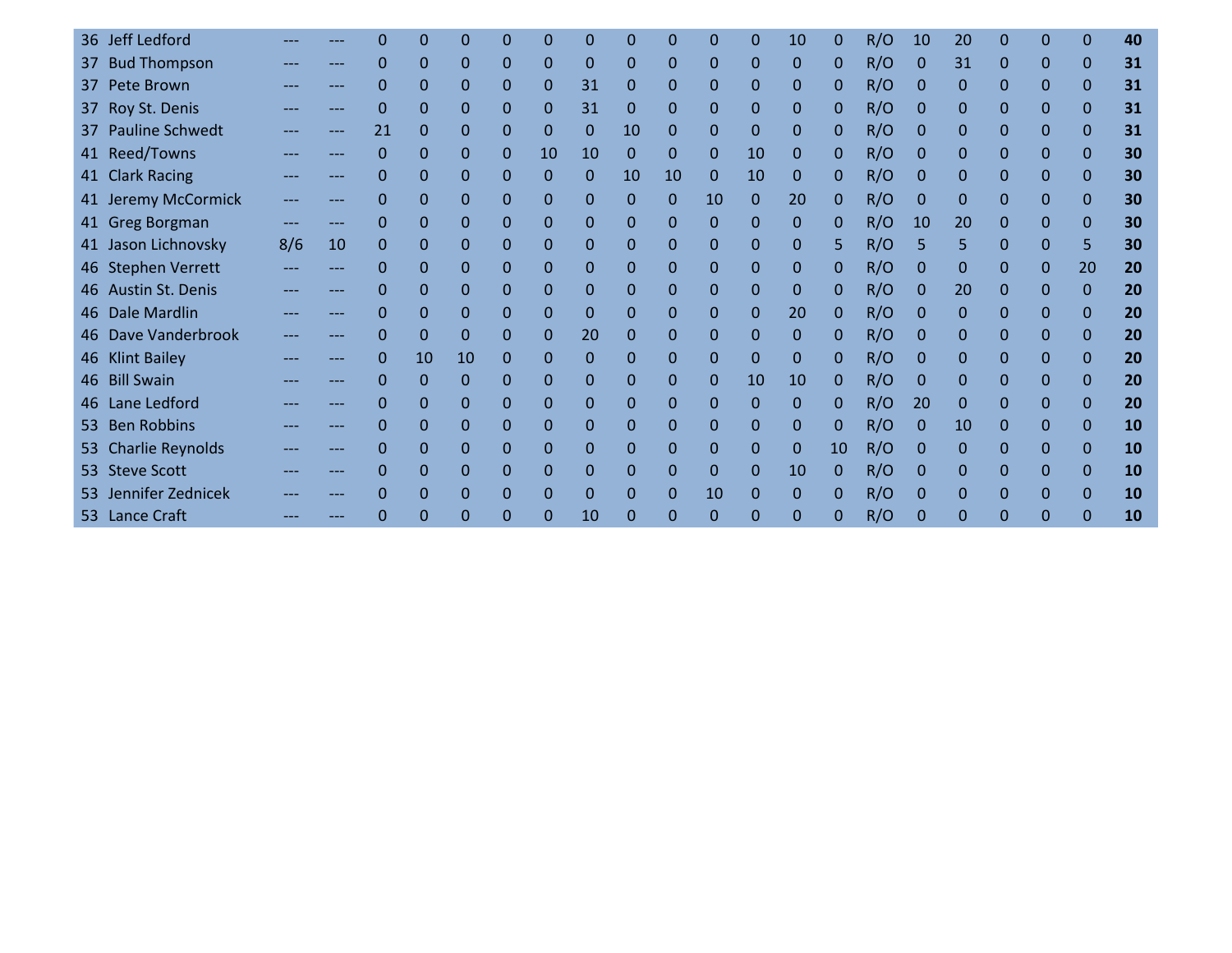|     | 36 Jeff Ledford         |     |     |             |    | ი        |          |              |          | 0              | 0              | 0              | 0            | 10       |    | R/O | 10           | 20           | 0            | 0            | $\Omega$     | 40        |
|-----|-------------------------|-----|-----|-------------|----|----------|----------|--------------|----------|----------------|----------------|----------------|--------------|----------|----|-----|--------------|--------------|--------------|--------------|--------------|-----------|
| 37  | <b>Bud Thompson</b>     |     | --- | 0           | 0  | 0        | 0        | $\Omega$     | 0        | $\overline{0}$ | $\Omega$       | $\mathbf{0}$   | $\mathbf{0}$ | 0        | 0  | R/O | $\mathbf{0}$ | 31           | $\Omega$     | $\Omega$     | $\Omega$     | 31        |
| 37  | Pete Brown              |     |     | 0           | 0  | 0        | 0        | $\Omega$     | 31       | 0              | $\mathbf 0$    | $\Omega$       | $\mathbf{0}$ | 0        | 0  | R/O | 0            | 0            | $\Omega$     | $\Omega$     | $\Omega$     | 31        |
| 37  | Roy St. Denis           |     |     | $\Omega$    | 0  | 0        | $\Omega$ | 0            | 31       | 0              | $\Omega$       | $\mathbf{0}$   | $\Omega$     | 0        | 0  | R/O | $\mathbf{0}$ | 0            | $\Omega$     | $\Omega$     | $\Omega$     | 31        |
|     | 37 Pauline Schwedt      |     | --- | 21          | 0  | 0        | 0        | $\mathbf{0}$ | $\Omega$ | 10             | $\Omega$       | $\mathbf{0}$   | $\Omega$     | 0        | 0  | R/O | $\Omega$     | $\Omega$     | $\Omega$     | $\Omega$     | $\Omega$     | 31        |
|     | 41 Reed/Towns           |     |     | 0           | 0  | 0        | 0        | 10           | 10       | 0              | 0              | $\mathbf{0}$   | 10           | 0        | 0  | R/O | 0            | $\mathbf{0}$ | $\mathbf 0$  | $\mathbf{0}$ | $\mathbf{0}$ | 30        |
|     | 41 Clark Racing         |     |     | $\Omega$    | 0  | 0        | 0        | $\mathbf{0}$ | $\Omega$ | 10             | 10             | $\mathbf{0}$   | 10           | 0        | 0  | R/O | $\Omega$     | $\Omega$     | $\Omega$     | $\Omega$     | $\Omega$     | 30        |
|     | 41 Jeremy McCormick     |     | --- | $\Omega$    | 0  | 0        | $\Omega$ | $\Omega$     | $\Omega$ | $\Omega$       | $\Omega$       | 10             | $\Omega$     | 20       | 0  | R/O | $\mathbf{0}$ | $\Omega$     | $\Omega$     | $\Omega$     | $\Omega$     | 30        |
|     | 41 Greg Borgman         |     |     | $\Omega$    | 0  | 0        | 0        | $\Omega$     | $\Omega$ | 0              | $\mathbf 0$    | $\overline{0}$ | $\Omega$     | 0        | 0  | R/O | 10           | 20           | 0            | $\Omega$     | $\Omega$     | 30        |
|     | 41 Jason Lichnovsky     | 8/6 | 10  | 0           | 0  | 0        | $\Omega$ | $\Omega$     | $\Omega$ | $\mathbf 0$    | $\Omega$       | $\mathbf{0}$   | $\Omega$     | 0        | 5. | R/O |              | 5            | $\Omega$     | $\Omega$     | 5            | 30        |
|     | 46 Stephen Verrett      |     |     | 0           | 0  | 0        | 0        | $\Omega$     | $\Omega$ | $\Omega$       | $\mathbf 0$    | $\mathbf{0}$   | $\mathbf{0}$ | 0        | 0  | R/O | $\mathbf{0}$ | $\Omega$     | 0            | $\Omega$     | 20           | 20        |
|     | 46 Austin St. Denis     |     |     | 0           | 0  | 0        | 0        | $\Omega$     | $\Omega$ | $\Omega$       | $\Omega$       | $\mathbf{0}$   | $\Omega$     | 0        | 0  | R/O | $\mathbf{0}$ | 20           | $\Omega$     | $\Omega$     | $\Omega$     | 20        |
|     | 46 Dale Mardlin         |     | --- | 0           | 0  | 0        | 0        | 0            | 0        | 0              | $\mathbf 0$    | $\mathbf{0}$   | $\mathbf 0$  | 20       | 0  | R/O | 0            | $\mathbf{0}$ | $\mathbf 0$  | $\mathbf{0}$ | $\mathbf{0}$ | 20        |
|     | 46 Dave Vanderbrook     |     |     | $\Omega$    | 0  | 0        | 0        | $\Omega$     | 20       | 0              | $\Omega$       | $\mathbf{0}$   | $\Omega$     | 0        | 0  | R/O | $\Omega$     | $\Omega$     | $\Omega$     | $\Omega$     | $\Omega$     | 20        |
|     | 46 Klint Bailey         |     |     | 0           | 10 | 10       | 0        | 0            | $\Omega$ | $\Omega$       | $\Omega$       | $\mathbf{0}$   | $\Omega$     | 0        | 0  | R/O | $\mathbf{0}$ | $\Omega$     | 0            | $\Omega$     | $\Omega$     | 20        |
|     | 46 Bill Swain           |     |     | $\mathbf 0$ | 0  | 0        | 0        | $\mathbf 0$  | 0        | 0              | $\mathbf 0$    | $\mathbf{0}$   | 10           | 10       | 0  | R/O | 0            | $\mathbf{0}$ | $\mathbf{0}$ | $\mathbf{0}$ | $\Omega$     | 20        |
| 46  | Lane Ledford            |     |     | 0           | 0  | 0        | 0        | $\mathbf{0}$ | 0        | $\mathbf 0$    | $\mathbf 0$    | $\mathbf{0}$   | $\Omega$     | 0        | 0  | R/O | 20           | $\mathbf{0}$ | $\Omega$     | $\mathbf{0}$ | $\mathbf{0}$ | 20        |
| 53  | <b>Ben Robbins</b>      |     |     | $\Omega$    | 0  | 0        | 0        | 0            | 0        | 0              | $\mathbf 0$    | $\mathbf{0}$   | $\Omega$     | 0        | 0  | R/O | $\Omega$     | 10           | 0            | $\Omega$     | $\Omega$     | <b>10</b> |
| 53. | <b>Charlie Reynolds</b> |     | --- | $\mathbf 0$ | 0  | 0        | 0        | $\mathbf{0}$ | 0        | 0              | $\mathbf 0$    | $\mathbf{0}$   | $\Omega$     | 0        | 10 | R/O | $\mathbf{0}$ | $\mathbf{0}$ | $\mathbf 0$  | $\mathbf{0}$ | $\mathbf{0}$ | 10        |
|     | 53 Steve Scott          |     |     | 0           | 0  | 0        | 0        | $\Omega$     | $\Omega$ | $\Omega$       | $\overline{0}$ | $\mathbf{0}$   | $\Omega$     | 10       | 0  | R/O | $\Omega$     | $\Omega$     | $\Omega$     | $\Omega$     | $\Omega$     | <b>10</b> |
|     | 53 Jennifer Zednicek    |     |     | 0           | 0  | 0        | 0        | 0            | 0        | 0              | 0              | 10             | 0            | 0        |    | R/O | 0            | 0            | 0            | $\mathbf{0}$ | 0            | <b>10</b> |
|     | 53 Lance Craft          |     |     | O           | 0  | $\Omega$ | $\Omega$ |              | 10       | $\Omega$       | $\Omega$       | $\Omega$       | $\Omega$     | $\Omega$ | 0  | R/O | 0            | $\Omega$     | 0            | O            | $\Omega$     | 10        |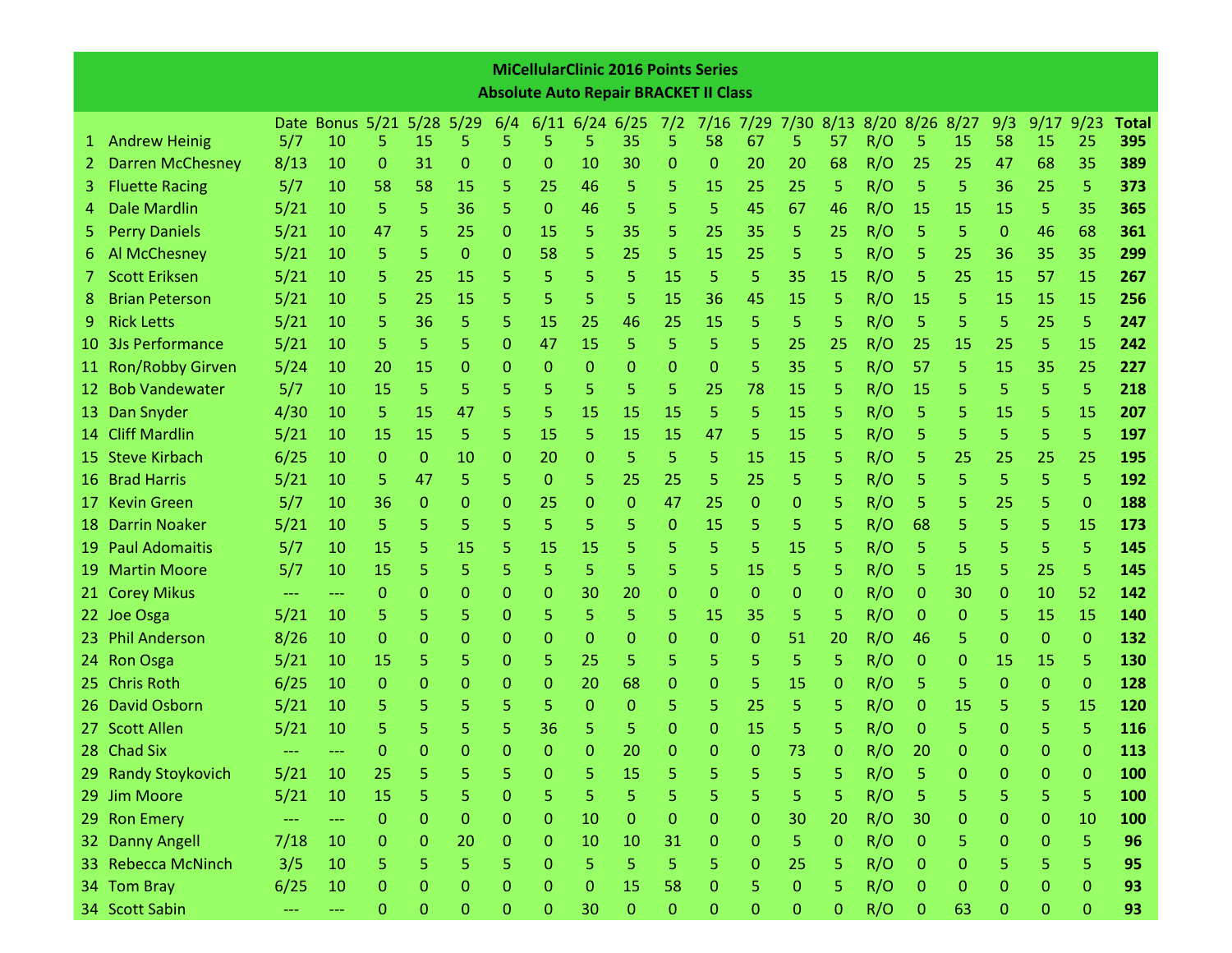|                 |                                                                                                                                                                                                                                                                                              |                     |                   |              |                  |              |              | <b>MiCellularClinic 2016 Points Series</b>   |                      |              |              |              |                     |    |              |                |              |    |              |             |              |              |
|-----------------|----------------------------------------------------------------------------------------------------------------------------------------------------------------------------------------------------------------------------------------------------------------------------------------------|---------------------|-------------------|--------------|------------------|--------------|--------------|----------------------------------------------|----------------------|--------------|--------------|--------------|---------------------|----|--------------|----------------|--------------|----|--------------|-------------|--------------|--------------|
|                 |                                                                                                                                                                                                                                                                                              |                     |                   |              |                  |              |              | <b>Absolute Auto Repair BRACKET II Class</b> |                      |              |              |              |                     |    |              |                |              |    |              |             |              |              |
|                 |                                                                                                                                                                                                                                                                                              |                     | Date Bonus 5/21   |              | $5/28$ 5/29      |              | 6/4          |                                              | $6/11$ 6/24 6/25 7/2 |              |              |              | 7/16 7/29 7/30 8/13 |    |              | 8/20 8/26 8/27 |              |    | 9/3          | 9/17        | 9/23         | <b>Total</b> |
| $1 -$           | <b>Andrew Heinig</b>                                                                                                                                                                                                                                                                         | 5/7                 | 10                | 5.           | 15               | 5            | 5            | 5                                            | 5                    | 35           | 5            | 58           | 67                  | 5  | 57           | R/O            | 5.           | 15 | 58           | 15          | 25           | 395          |
| 2.              | <b>Darren McChesney</b>                                                                                                                                                                                                                                                                      | 8/13                | 10                | 0            | 31               | 0            | 0            | 0                                            | 10                   | 30           | 0            | 0            | 20                  | 20 | 68           | R/O            | 25           | 25 | 47           | 68          | 35           | 389          |
| 3.              | <b>Fluette Racing</b>                                                                                                                                                                                                                                                                        | 5/7                 | 10                | 58           | 58               | 15           | 5.           | 25                                           | 46                   | 5            | 5            | 15           | 25                  | 25 | 5            | R/O            | 5            | 5  | 36           | 25          | 5            | 373          |
| 4               | <b>Dale Mardlin</b>                                                                                                                                                                                                                                                                          | 5/21                | 10                | 5.           | 5.               | 36           | 5.           | $\Omega$                                     | 46                   | 5            | 5            | 5            | 45                  | 67 | 46           | R/O            | 15           | 15 | 15           | 5           | 35           | 365          |
| 5.              | <b>Perry Daniels</b>                                                                                                                                                                                                                                                                         | 5/21                | 10                | 47           | 5                | 25           | 0            | 15                                           | 5                    | 35           | 5            | 25           | 35                  | 5  | 25           | R/O            | 5            | 5  | $\Omega$     | 46          | 68           | 361          |
| 6.              | Al McChesney                                                                                                                                                                                                                                                                                 | 5/21                | 10                | 5.           | 5                | 0            | 0            | 58                                           | 5                    | 25           | 5            | 15           | 25                  | 5  | 5.           | R/O            | 5            | 25 | 36           | 35          | 35           | 299          |
|                 | <b>Scott Eriksen</b>                                                                                                                                                                                                                                                                         | 5/21                | 10                | 5            | 25               | 15           | 5            | 5                                            | 5                    | 5            | 15           | 5            | 5                   | 35 | <b>15</b>    | R/O            | 5            | 25 | 15           | 57          | 15           | 267          |
| 8               | <b>Brian Peterson</b>                                                                                                                                                                                                                                                                        | 5/21                | 10                | 5            | 25               | 15           | 5.           | 5.                                           | 5                    | 5            | 15           | 36           | 45                  | 15 | 5            | R/O            | 15           | 5  | 15           | 15          | 15           | 256          |
| 9.              | <b>Rick Letts</b>                                                                                                                                                                                                                                                                            | 5/21                | 10                | 5            | 36               | 5            | 5.           | 15                                           | 25                   | 46           | 25           | 15           | 5                   | 5  | 5            | R/O            | 5            | 5  | 5            | 25          | 5            | 247          |
| 10              | 5<br>5<br>15<br><b>3Js Performance</b><br>5/21<br>5<br>5<br>15<br>5<br>5<br>5<br>25<br>R/O<br>25<br>5<br>10<br>0<br>47<br>25<br>25<br>15<br>5<br><b>Ron/Robby Girven</b><br>5/24<br>35<br>R/O<br>5<br>35<br>10<br>20<br>15<br>0<br>0<br>$\Omega$<br>0<br>0<br>0<br>5.<br>57<br>15<br>25<br>0 |                     |                   |              |                  |              |              |                                              |                      |              |              |              |                     |    |              | 242            |              |    |              |             |              |              |
| 11 <sub>1</sub> | <b>Bob Vandewater</b><br>5/7<br>5<br>5<br>5<br>5<br>5<br>5<br>5<br>10<br>15<br>5<br>5<br>5<br>25<br>78<br>15<br>R/O<br>15<br>5<br>5.                                                                                                                                                         |                     |                   |              |                  |              |              |                                              |                      |              |              |              |                     |    |              | 227            |              |    |              |             |              |              |
| 12              | 5                                                                                                                                                                                                                                                                                            |                     |                   |              |                  |              |              |                                              |                      |              |              |              |                     |    |              | 218            |              |    |              |             |              |              |
|                 | 4/30<br>15<br>5<br>5<br>5<br>R/O<br>5<br>13 Dan Snyder<br>5<br>47<br>15<br>15<br>15<br>5<br>15<br>15<br>10<br>5<br>15<br>5                                                                                                                                                                   |                     |                   |              |                  |              |              |                                              |                      |              |              |              |                     |    |              | 207            |              |    |              |             |              |              |
|                 | R/O<br>5<br>14 Cliff Mardlin<br>5/21<br>5.<br>5<br>5<br>5<br>5<br>5<br>15<br>15<br>5<br>15<br>15<br>47<br>5<br>15<br>5<br>10<br>15                                                                                                                                                           |                     |                   |              |                  |              |              |                                              |                      |              |              |              |                     |    |              | 197            |              |    |              |             |              |              |
|                 | 15 Steve Kirbach                                                                                                                                                                                                                                                                             | 6/25                | 10                | $\Omega$     | $\mathbf{0}$     | 10           | 0            | 20                                           | $\mathbf 0$          | 5            | 5            | 5            | 15                  | 15 | 5.           | R/O            | 5            | 25 | 25           | 25          | 25           | 195          |
| 16.             | <b>Brad Harris</b>                                                                                                                                                                                                                                                                           | 5/21                | 10                | 5            | 47               | 5            | 5            | 0                                            | 5                    | 25           | 25           | 5            | 25                  | 5  | 5            | R/O            | 5            | 5  | 5            | 5           | 5            | 192          |
| 17.             | <b>Kevin Green</b>                                                                                                                                                                                                                                                                           | 5/7                 | 10                | 36           | $\mathbf{0}$     | 0            | 0            | 25                                           | 0                    | $\mathbf{0}$ | 47           | 25           | $\Omega$            | 0  | 5.           | R/O            | 5            | 5  | 25           | 5           | $\mathbf 0$  | 188          |
| 18.             | <b>Darrin Noaker</b>                                                                                                                                                                                                                                                                         | 5/21                | 10                | 5            | 5                | 5            | 5            | 5                                            | 5                    | 5            | $\mathbf{0}$ | 15           | 5                   | 5  | 5            | R/O            | 68           | 5  | 5            | 5           | 15           | 173          |
| 19.             | <b>Paul Adomaitis</b>                                                                                                                                                                                                                                                                        | 5/7                 | 10                | 15           | 5                | 15           | 5.           | 15                                           | 15                   | 5            | 5            | 5            | 5                   | 15 | 5            | R/O            | 5            | 5  | 5            | 5           | 5            | 145          |
| 19.             | <b>Martin Moore</b>                                                                                                                                                                                                                                                                          | 5/7                 | 10                | 15           | 5                | 5            | 5            | 5                                            | 5                    | 5            | 5            | 5.           | 15                  | 5  | 5.           | R/O            | 5            | 15 | 5            | 25          | 5            | 145          |
|                 | 21 Corey Mikus                                                                                                                                                                                                                                                                               | $\qquad \qquad - -$ | $\qquad \qquad -$ | $\mathbf{0}$ | $\mathbf 0$      | 0            | 0            | 0                                            | 30                   | 20           | 0            | 0            | $\mathbf 0$         | 0  | 0            | R/O            | 0            | 30 | 0            | 10          | 52           | 142          |
|                 | 22 Joe Osga                                                                                                                                                                                                                                                                                  | 5/21                | 10                | 5            | 5                | 5            | 0            | 5                                            | 5                    | 5            | 5            | 15           | 35                  | 5  | 5.           | R/O            | 0            | 0  | 5            | 15          | 15           | 140          |
| 23.             | <b>Phil Anderson</b>                                                                                                                                                                                                                                                                         | 8/26                | 10                | $\Omega$     | $\Omega$         | 0            | 0            | 0                                            | 0                    | 0            | 0            | 0            | $\Omega$            | 51 | 20           | R/O            | 46           | 5  | $\Omega$     | 0           | $\mathbf{0}$ | 132          |
|                 | 24 Ron Osga                                                                                                                                                                                                                                                                                  | 5/21                | 10                | 15           | 5                | 5            | 0            | 5                                            | 25                   | 5            | 5            | 5            | 5                   | 5  | 5.           | R/O            | 0            | 0  | 15           | 15          | 5            | 130          |
|                 | 25 Chris Roth                                                                                                                                                                                                                                                                                | 6/25                | 10                | $\Omega$     | $\mathbf{0}$     | 0            | 0            | 0                                            | 20                   | 68           | 0            | 0            | 5                   | 15 | 0            | R/O            | 5            | 5  | $\mathbf 0$  | 0           | $\mathbf 0$  | 128          |
|                 | 26 David Osborn                                                                                                                                                                                                                                                                              | 5/21                | 10                | 5            | 5                | 5            | 5            | 5                                            | $\mathbf{0}$         | 0            | 5            | 5            | 25                  | 5  | 5            | R/O            | 0            | 15 | 5            | 5           | 15           | 120          |
|                 | 27 Scott Allen                                                                                                                                                                                                                                                                               | 5/21                | 10                |              | 5                | 5            | 5            | 36                                           | 5                    | 5            | 0            | 0            | 15                  | 5  | 5            | R/O            | 0            | 5  | 0            | 5           | 5            | 116          |
|                 | 28 Chad Six                                                                                                                                                                                                                                                                                  |                     |                   | 0            |                  | $\mathbf{0}$ | $\mathbf{0}$ | $\mathbf{0}$                                 | $\mathbf 0$          | 20           | $\mathbf{0}$ | $\mathbf{0}$ | $\mathbf{0}$        | 73 | 0            | R/O            | 20           | 0  | $\mathbf 0$  | $\mathbf 0$ | $\mathbf{0}$ | 113          |
|                 | 29 Randy Stoykovich                                                                                                                                                                                                                                                                          | 5/21                | 10                | 25           | 5                | 5            | 5            | 0                                            | 5                    | 15           | 5            | 5            | 5                   | 5  | 5            | R/O            | 5            | 0  | $\mathbf 0$  | $\Omega$    | $\mathbf 0$  | 100          |
|                 | 29 Jim Moore                                                                                                                                                                                                                                                                                 | 5/21                | 10                | 15           | 5                | 5            | $\mathbf{0}$ | 5                                            | 5                    | 5            | 5            | 5            | 5                   | 5  | 5            | R/O            | 5            | 5  | 5            | 5           | 5            | 100          |
|                 | 29 Ron Emery                                                                                                                                                                                                                                                                                 |                     |                   | 0            | $\mathbf{0}$     | 0            | 0            | $\mathbf{0}$                                 | 10                   | $\mathbf{0}$ | 0            | 0            | $\mathbf{0}$        | 30 | 20           | R/O            | 30           | 0  | 0            | 0           | 10           | 100          |
|                 | 32 Danny Angell                                                                                                                                                                                                                                                                              | 7/18                | 10                | 0            | $\mathbf{0}$     | 20           | 0            | 0                                            | 10                   | 10           | 31           | $\mathbf{0}$ | $\mathbf{0}$        | 5  | $\mathbf{0}$ | R/O            | $\mathbf{0}$ | 5. | $\mathbf{0}$ | 0           | 5            | 96           |
|                 | 33 Rebecca McNinch                                                                                                                                                                                                                                                                           | 3/5                 | 10                | 5            | 5                | 5            | 5.           | 0                                            | 5                    | 5            | 5            | 5            | $\mathbf{0}$        | 25 | 5.           | R/O            | $\mathbf 0$  | 0  | 5            | 5           | 5            | 95           |
|                 | 34 Tom Bray                                                                                                                                                                                                                                                                                  | 6/25                | 10                | 0            | $\boldsymbol{0}$ | 0            | 0            | 0                                            | 0                    | 15           | 58           | $\mathbf{0}$ | 5                   | 0  | 5.           | R/O            | $\mathbf 0$  | 0  | $\mathbf 0$  | 0           | $\bf 0$      | 93           |
|                 | 34 Scott Sabin                                                                                                                                                                                                                                                                               |                     | ---               | $\mathbf{0}$ | $\mathbf 0$      | 0            | $\mathbf 0$  | $\mathbf 0$                                  | 30                   | $\mathbf{0}$ | 0            | 0            | 0                   | 0  | 0            | R/O            | $\mathbf{0}$ | 63 | 0            | 0           | 0            | 93           |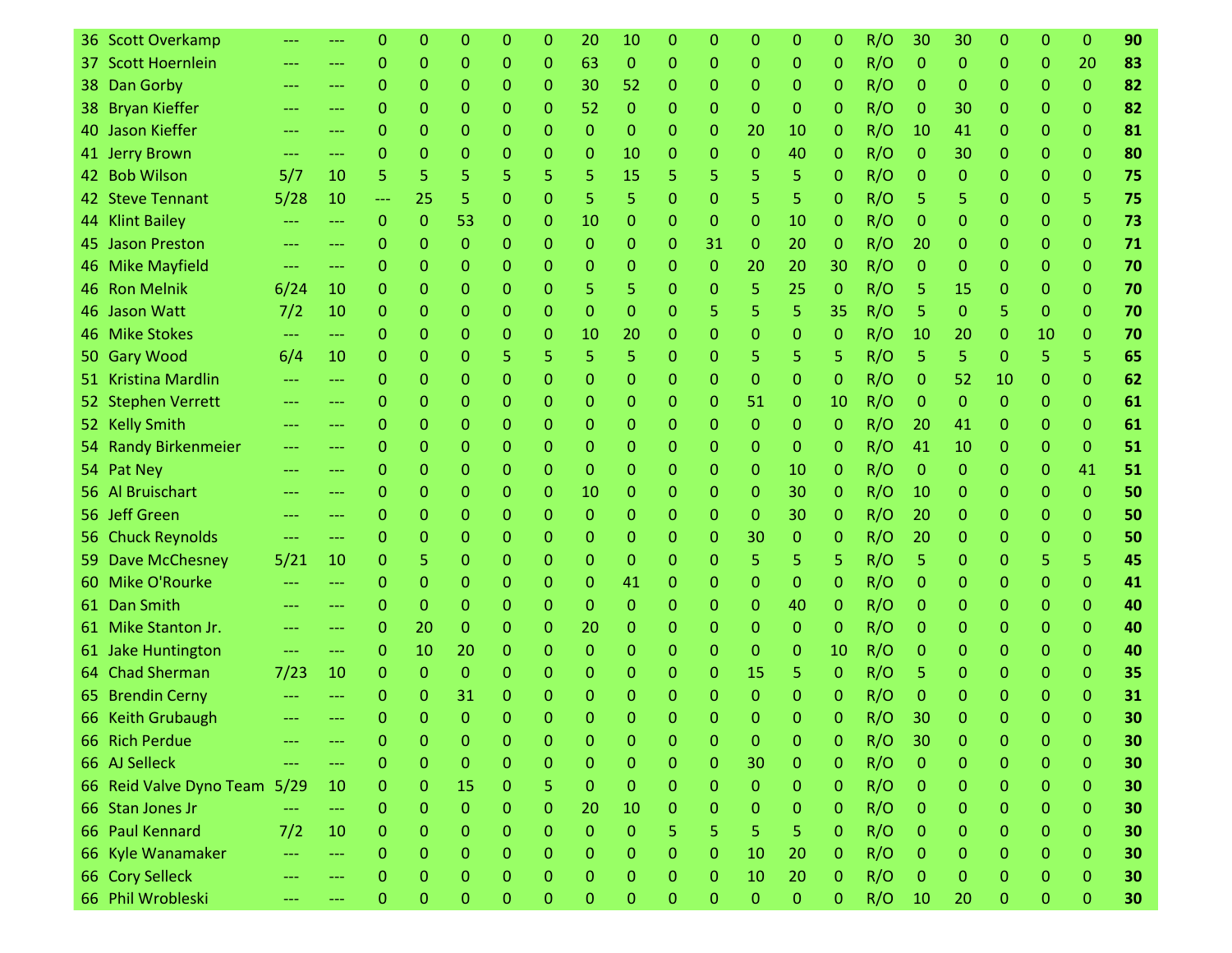|     | 36 Scott Overkamp       |                     |                   |              | 0            | 0            | Ω            | 0            | 20           | 10               | 0            | 0                | 0              | 0            | 0            | R/O | 30             | 30       | 0                | 0  | 0              | 90 |
|-----|-------------------------|---------------------|-------------------|--------------|--------------|--------------|--------------|--------------|--------------|------------------|--------------|------------------|----------------|--------------|--------------|-----|----------------|----------|------------------|----|----------------|----|
|     | 37 Scott Hoernlein      | ---                 | ---               | 0            | $\mathbf{0}$ | 0            | 0            | 0            | 63           | $\mathbf{0}$     | 0            | 0                | $\mathbf{0}$   | 0            | 0            | R/O | $\mathbf 0$    | 0        | 0                | 0  | 20             | 83 |
|     | 38 Dan Gorby            | $---$               | $---$             | 0            | $\Omega$     | 0            | 0            | 0            | 30           | 52               | 0            | 0                | $\Omega$       | 0            | 0            | R/O | $\mathbf 0$    | 0        | 0                | 0  | $\mathbf{0}$   | 82 |
| 38. | <b>Bryan Kieffer</b>    | ---                 | ---               | 0            | 0            | 0            | 0            | 0            | 52           | 0                | 0            | 0                | $\mathbf{0}$   | 0            | 0            | R/O | 0              | 30       | 0                | 0  | $\mathbf{0}$   | 82 |
|     | 40 Jason Kieffer        | ---                 | $---$             | 0            | $\Omega$     | 0            | 0            | 0            | $\Omega$     | 0                | 0            | 0                | 20             | 10           | 0            | R/O | 10             | 41       | 0                | 0  | $\mathbf{0}$   | 81 |
|     | 41 Jerry Brown          | ---                 | ---               | 0            | 0            | 0            | 0            | 0            | 0            | 10               | 0            | 0                | $\mathbf{0}$   | 40           | 0            | R/O | $\mathbf{0}$   | 30       | 0                | 0  | $\mathbf{0}$   | 80 |
|     | 42 Bob Wilson           | 5/7                 | 10                | 5.           | 5            | 5            | 5            | 5.           | 5.           | 15               | 5            | 5                | 5              | 5            | 0            | R/O | 0              | 0        | 0                | 0  | $\mathbf{0}$   | 75 |
|     | 42 Steve Tennant        | 5/28                | 10                | ---          | 25           | 5            | 0            | 0            | 5            | 5                | 0            | 0                | 5              | 5            | 0            | R/O | 5              | 5        | 0                | 0  | 5              | 75 |
|     | 44 Klint Bailey         | $---$               | $\frac{1}{2}$     | $\Omega$     | $\mathbf{0}$ | 53           | 0            | 0            | 10           | 0                | $\mathbf{0}$ | 0                | $\Omega$       | 10           | 0            | R/O | $\mathbf{0}$   | 0        | 0                | 0  | $\mathbf{0}$   | 73 |
|     | 45 Jason Preston        |                     | $\qquad \qquad -$ | 0            | $\mathbf 0$  | 0            | 0            | 0            | $\mathbf{0}$ | 0                | 0            | 31               | $\mathbf{0}$   | 20           | 0            | R/O | 20             | 0        | 0                | 0  | $\mathbf{0}$   | 71 |
|     | 46 Mike Mayfield        |                     | ---               | 0            | $\Omega$     | 0            | 0            | 0            | 0            | 0                | 0            | 0                | 20             | 20           | 30           | R/O | $\Omega$       | 0        | 0                | 0  | $\mathbf{0}$   | 70 |
| -46 | <b>Ron Melnik</b>       | 6/24                | 10                | $\Omega$     | $\Omega$     | 0            | 0            | 0            | 5            | 5                | 0            | 0                | 5              | 25           | 0            | R/O | 5              | 15       | 0                | 0  | $\Omega$       | 70 |
|     | 46 Jason Watt           | 7/2                 | 10                | 0            | 0            | 0            | 0            | 0            | $\Omega$     | 0                | 0            | 5                | 5              | 5            | 35           | R/O | 5              | 0        | 5                | 0  | $\mathbf{0}$   | 70 |
|     | 46 Mike Stokes          | $\qquad \qquad - -$ | $\cdots$          | 0            | 0            | 0            | 0            | 0            | 10           | 20               | 0            | 0                | $\mathbf{0}$   | 0            | 0            | R/O | 10             | 20       | 0                | 10 | $\Omega$       | 70 |
|     | 50 Gary Wood            | 6/4                 | 10                | 0            | 0            | 0            | 5            | 5.           | 5            | 5                | 0            | 0                | 5              | 5            | 5.           | R/O | 5              | 5        | 0                | 5  | 5              | 65 |
|     | 51 Kristina Mardlin     | ---                 | $---$             | 0            | $\Omega$     | 0            | 0            | 0            | $\mathbf{0}$ | 0                | 0            | 0                | $\Omega$       | 0            | 0            | R/O | 0              | 52       | 10               | 0  | $\mathbf 0$    | 62 |
|     | 52 Stephen Verrett      | ---                 | ---               | 0            | $\mathbf 0$  | 0            | 0            | 0            | 0            | 0                | 0            | 0                | 51             | 0            | 10           | R/O | 0              | 0        | 0                | 0  | $\mathbf{0}$   | 61 |
|     | 52 Kelly Smith          | ---                 | ---               | 0            | $\mathbf{0}$ | 0            | 0            | 0            | 0            | 0                | 0            | 0                | $\mathbf{0}$   | 0            | 0            | R/O | 20             | 41       | 0                | 0  | $\Omega$       | 61 |
|     | 54 Randy Birkenmeier    | ---                 | ---               | 0            | $\mathbf{0}$ | 0            | $\Omega$     | 0            | 0            | 0                | 0            | 0                | $\mathbf{0}$   | 0            | 0            | R/O | 41             | 10       | 0                | 0  | $\mathbf{0}$   | 51 |
|     | 54 Pat Ney              |                     | ---               | 0            | 0            | 0            | 0            | 0            | 0            | 0                | 0            | 0                | $\mathbf{0}$   | 10           | 0            | R/O | $\mathbf{0}$   | 0        | 0                | 0  | 41             | 51 |
|     | 56 Al Bruischart        | ---                 | ---               | 0            | $\mathbf{0}$ | 0            | $\Omega$     | 0            | 10           | 0                | 0            | 0                | $\mathbf{0}$   | 30           | 0            | R/O | 10             | 0        | 0                | 0  | $\mathbf{0}$   | 50 |
|     | 56 Jeff Green           | $\frac{1}{2}$       | $\cdots$          | 0            | $\Omega$     | 0            | 0            | 0            | $\mathbf{0}$ | 0                | 0            | 0                | $\mathbf{0}$   | 30           | 0            | R/O | 20             | 0        | 0                | 0  | 0              | 50 |
|     | 56 Chuck Reynolds       |                     | $---$             | 0            | $\Omega$     | 0            | 0            | 0            | 0            | 0                | 0            | 0                | 30             | 0            | 0            | R/O | 20             | 0        | 0                | 0  | $\Omega$       | 50 |
|     | 59 Dave McChesney       | 5/21                | 10                | 0            | 5            | 0            | 0            | 0            | 0            | 0                | 0            | 0                | 5              | 5            | 5.           | R/O | 5              | 0        | 0                | 5  | 5              | 45 |
|     | 60 Mike O'Rourke        | ---                 | ---               | 0            | $\Omega$     | 0            | 0            | 0            | 0            | 41               | 0            | 0                | $\Omega$       | 0            | 0            | R/O | $\mathbf 0$    | 0        | 0                | 0  | $\Omega$       | 41 |
|     | 61 Dan Smith            |                     | ---               | 0            | $\mathbf{0}$ | 0            | 0            | 0            | 0            | 0                | 0            | 0                | $\mathbf{0}$   | 40           | 0            | R/O | 0              | 0        | 0                | 0  | $\Omega$       | 40 |
|     | 61 Mike Stanton Jr.     |                     | $\qquad \qquad -$ | 0            | 20           | $\Omega$     | 0            | 0            | 20           | 0                | 0            | 0                | $\mathbf{0}$   | 0            | $\mathbf{0}$ | R/O | $\mathbf 0$    | 0        | 0                | 0  | $\mathbf{0}$   | 40 |
|     | 61 Jake Huntington      | ---                 | $\cdots$          | 0            | 10           | 20           | 0            | 0            | $\Omega$     | 0                | 0            | 0                | $\mathbf{0}$   | 0            | 10           | R/O | 0              | 0        | 0                | 0  | $\mathbf{0}$   | 40 |
|     | 64 Chad Sherman         | 7/23                | 10                | 0            | $\mathbf{0}$ | $\Omega$     | 0            | 0            | 0            | 0                | 0            | 0                | 15             | 5            | 0            | R/O | 5              | 0        | 0                | 0  | $\mathbf{0}$   | 35 |
| 65  | <b>Brendin Cerny</b>    |                     |                   | 0            | 0            | 31           | 0            | 0            | 0            | 0                | 0            | 0                | $\Omega$       | 0            | 0            | R/O | 0              | 0        | 0                | 0  | 0              | 31 |
|     | 66 Keith Grubaugh       |                     |                   | O            | $\Omega$     | $\Omega$     | O            | O.           | O            | O                | n            | n                | n              | $\Omega$     | 0            | R/O | 30             | $\Omega$ | ሰ                | n  | O.             | 30 |
|     | 66 Rich Perdue          |                     |                   | 0            | $\mathbf{0}$ | 0            | 0            | $\mathbf{0}$ | $\Omega$     | $\mathbf{0}$     | $\mathbf{0}$ | $\mathbf{0}$     | $\mathbf{0}$   | 0            | 0            | R/O | 30             | 0        | $\mathbf{0}$     | 0  | $\mathbf{0}$   | 30 |
|     | 66 AJ Selleck           |                     |                   | 0            | $\mathbf{0}$ | $\mathbf{0}$ | 0            | $\mathbf{0}$ | 0            | $\mathbf{0}$     | $\mathbf{0}$ | $\mathbf{0}$     | 30             | $\mathbf{0}$ | $\mathbf{0}$ | R/O | $\overline{0}$ | 0        | $\mathbf 0$      | 0  | $\mathbf{0}$   | 30 |
|     | 66 Reid Valve Dyno Team | 5/29                | 10                | $\mathbf{0}$ | $\mathbf{0}$ | 15           | $\mathbf{0}$ | 5            | $\mathbf{0}$ | $\boldsymbol{0}$ | $\mathbf{0}$ | $\boldsymbol{0}$ | $\overline{0}$ | 0            | $\mathbf{0}$ | R/O | $\overline{0}$ | 0        | $\boldsymbol{0}$ | 0  | $\overline{0}$ | 30 |
|     | 66 Stan Jones Jr        | ---                 | $\qquad \qquad -$ | $\mathbf{0}$ | $\mathbf 0$  | $\mathbf{0}$ | 0            | $\mathbf{0}$ | 20           | 10               | 0            | 0                | $\mathbf{0}$   | 0            | 0            | R/O | $\mathbf{0}$   | 0        | $\mathbf 0$      | 0  | $\mathbf{O}$   | 30 |
|     | 66 Paul Kennard         | 7/2                 | 10                | $\mathbf{0}$ | $\mathbf{0}$ | $\mathbf{0}$ | $\mathbf{0}$ | $\mathbf{0}$ | $\mathbf{0}$ | $\mathbf{0}$     | 5            | 5                | 5              | 5            | $\mathbf{0}$ | R/O | $\mathbf{0}$   | 0        | $\mathbf 0$      | 0  | $\mathbf{0}$   | 30 |
|     | 66 Kyle Wanamaker       | ---                 | ---               | 0            | $\mathbf 0$  | $\Omega$     | 0            | $\Omega$     | 0            | $\mathbf{0}$     | $\Omega$     | $\mathbf{0}$     | 10             | 20           | 0            | R/O | $\mathbf{0}$   | 0        | $\mathbf{0}$     | 0  | $\mathbf{0}$   | 30 |
|     | 66 Cory Selleck         | ---                 | ---               | 0            | $\mathbf 0$  | $\Omega$     | 0            | $\mathbf{0}$ | 0            | $\mathbf{0}$     | 0            | $\mathbf{0}$     | 10             | 20           | $\mathbf{0}$ | R/O | $\mathbf{0}$   | 0        | $\mathbf 0$      | 0  | $\mathbf{0}$   | 30 |
|     | 66 Phil Wrobleski       |                     |                   | $\mathbf{0}$ | $\mathbf 0$  | $\mathbf 0$  | $\mathbf{O}$ | $\mathbf{0}$ | $\mathbf{0}$ | 0                | 0            | $\pmb{0}$        | $\overline{0}$ | $\mathbf{0}$ | $\mathbf{0}$ | R/O | 10             | 20       | 0                | 0  | $\pmb{0}$      | 30 |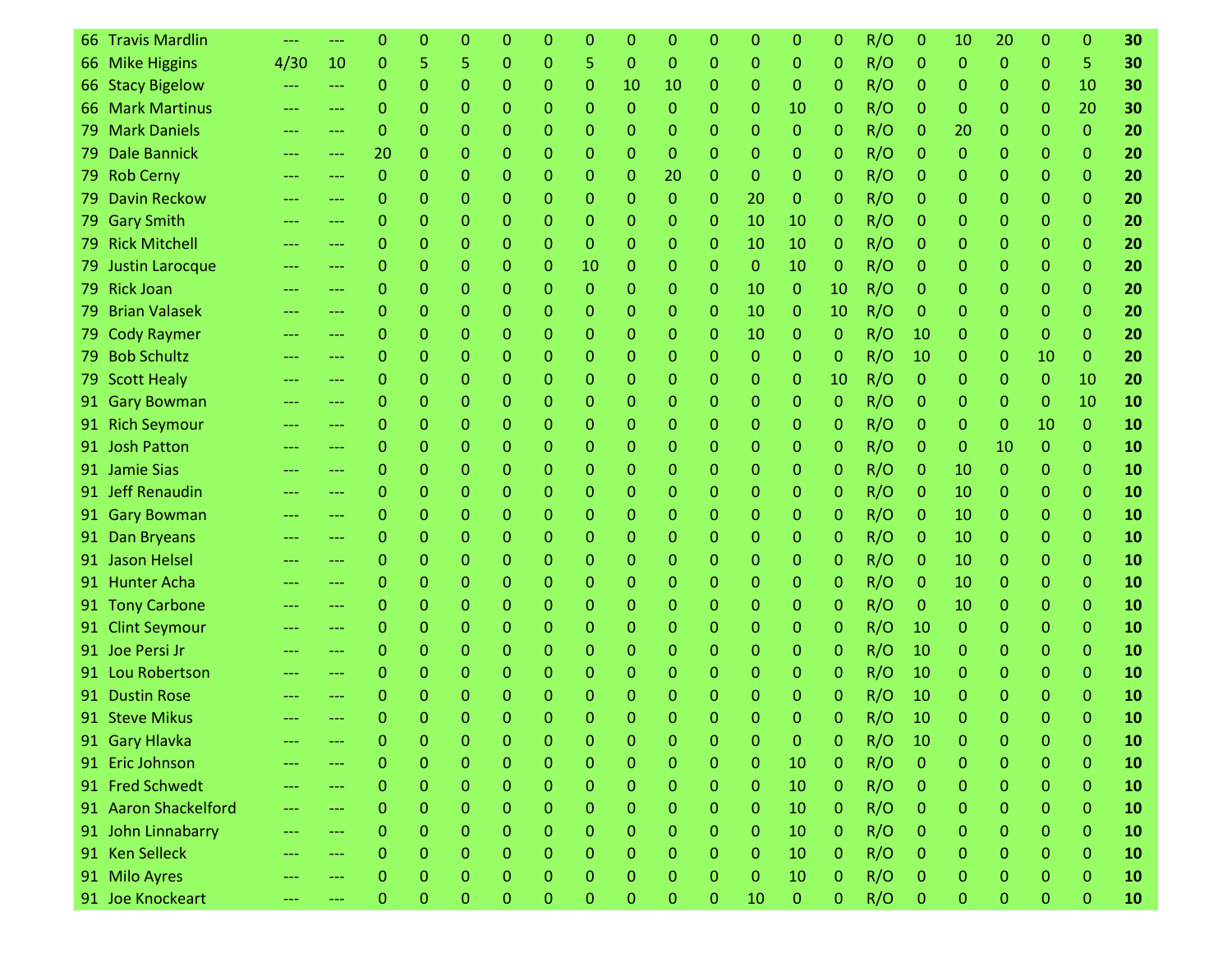|     | 66 Travis Mardlin    |                   |                     | 0            | 0            | 0        | Ω            | 0            | 0            | 0            | 0            | 0              | 0            | 0            | 0               | R/O | 0              | 10       | 20               | 0            | 0              | 30 |
|-----|----------------------|-------------------|---------------------|--------------|--------------|----------|--------------|--------------|--------------|--------------|--------------|----------------|--------------|--------------|-----------------|-----|----------------|----------|------------------|--------------|----------------|----|
|     | 66 Mike Higgins      | 4/30              | 10                  | $\Omega$     | 5            | 5        | 0            | 0            | 5            | $\Omega$     | $\Omega$     | $\mathbf{0}$   | $\mathbf{0}$ | 0            | 0               | R/O | $\mathbf 0$    | 0        | $\mathbf{0}$     | 0            | 5              | 30 |
|     | 66 Stacy Bigelow     |                   | ---                 | 0            | $\Omega$     | 0        | 0            | 0            | 0            | 10           | 10           | $\mathbf{0}$   | $\Omega$     | $\mathbf{0}$ | 0               | R/O | $\mathbf 0$    | 0        | 0                | 0            | 10             | 30 |
| 66. | <b>Mark Martinus</b> | ---               | ---                 | 0            | $\mathbf 0$  | 0        | 0            | 0            | 0            | $\mathbf{0}$ | $\Omega$     | 0              | 0            | 10           | 0               | R/O | 0              | 0        | 0                | 0            | 20             | 30 |
| 79. | <b>Mark Daniels</b>  | ---               | ---                 | 0            | $\Omega$     | 0        | 0            | 0            | 0            | 0            | 0            | $\mathbf{0}$   | $\mathbf{0}$ | 0            | 0               | R/O | $\mathbf 0$    | 20       | 0                | 0            | $\overline{0}$ | 20 |
| 79. | <b>Dale Bannick</b>  | $---$             | ---                 | 20           | 0            | 0        | 0            | 0            | 0            | 0            | 0            | $\Omega$       | 0            | 0            | 0               | R/O | 0              | 0        | 0                | 0            | $\mathbf{0}$   | 20 |
|     | 79 Rob Cerny         | ---               | ---                 | $\mathbf{0}$ | $\Omega$     | 0        | 0            | 0            | 0            | 0            | 20           | 0              | $\mathbf{0}$ | 0            | 0               | R/O | 0              | 0        | 0                | 0            | $\mathbf{0}$   | 20 |
| 79. | <b>Davin Reckow</b>  |                   | ---                 | 0            | 0            | 0        | 0            | 0            | 0            | 0            | $\Omega$     | 0              | 20           | $\mathbf{0}$ | 0               | R/O | 0              | 0        | 0                | 0            | $\mathbf{0}$   | 20 |
|     | 79 Gary Smith        | $---$             | $---$               | 0            | $\mathbf{0}$ | 0        | 0            | 0            | 0            | 0            | 0            | $\mathbf{0}$   | 10           | 10           | 0               | R/O | 0              | 0        | $\mathbf 0$      | 0            | $\mathbf{0}$   | 20 |
|     | 79 Rick Mitchell     | ---               | ---                 | 0            | $\mathbf 0$  | 0        | 0            | 0            | $\mathbf 0$  | 0            | 0            | $\mathbf{0}$   | 10           | 10           | 0               | R/O | 0              | 0        | 0                | 0            | $\mathbf{0}$   | 20 |
|     | 79 Justin Larocque   | ---               | ---                 | 0            | $\Omega$     | 0        | 0            | 0            | 10           | 0            | 0            | 0              | $\mathbf{0}$ | 10           | $\mathbf{0}$    | R/O | $\mathbf 0$    | 0        | 0                | 0            | $\mathbf{0}$   | 20 |
|     | 79 Rick Joan         | $---$             | ---                 | 0            | $\Omega$     | 0        | 0            | 0            | $\Omega$     | 0            | 0            | $\mathbf{0}$   | 10           | $\mathbf{0}$ | 10 <sup>°</sup> | R/O | 0              | 0        | 0                | 0            | $\mathbf{0}$   | 20 |
| 79. | <b>Brian Valasek</b> |                   | ---                 | 0            | $\Omega$     | 0        | 0            | 0            | 0            | 0            | 0            | 0              | 10           | 0            | 10              | R/O | 0              | 0        | 0                | 0            | $\mathbf{0}$   | 20 |
|     | 79 Cody Raymer       | ---               | ---                 | 0            | $\mathbf{0}$ | 0        | 0            | 0            | 0            | 0            | 0            | 0              | 10           | $\mathbf{0}$ | 0               | R/O | 10             | 0        | 0                | 0            | $\mathbf{0}$   | 20 |
|     | 79 Bob Schultz       |                   | ---                 | 0            | 0            | 0        | 0            | 0            | 0            | 0            | 0            | 0              | $\mathbf{0}$ | 0            | 0               | R/O | 10             | 0        | 0                | 10           | $\mathbf{0}$   | 20 |
|     | 79 Scott Healy       | ---               | $---$               | 0            | $\mathbf 0$  | 0        | 0            | 0            | 0            | 0            | 0            | $\mathbf{0}$   | $\Omega$     | 0            | 10              | R/O | $\mathbf 0$    | 0        | $\Omega$         | $\mathbf{0}$ | 10             | 20 |
|     | 91 Gary Bowman       |                   | $---$               | 0            | $\Omega$     | 0        | 0            | 0            | 0            | 0            | 0            | $\mathbf{0}$   | $\Omega$     | 0            | 0               | R/O | 0              | 0        | 0                | 0            | 10             | 10 |
| 91. | <b>Rich Seymour</b>  | ---               | ---                 | 0            | $\mathbf{0}$ | 0        | 0            | 0            | 0            | 0            | 0            | 0              | $\Omega$     | 0            | 0               | R/O | 0              | 0        | $\mathbf{0}$     | 10           | $\mathbf{0}$   | 10 |
|     | 91 Josh Patton       |                   | ---                 | 0            | $\mathbf{0}$ | 0        | 0            | 0            | 0            | 0            | 0            | $\mathbf{0}$   | $\mathbf{0}$ | 0            | 0               | R/O | 0              | 0        | 10               | $\mathbf{0}$ | $\mathbf{0}$   | 10 |
|     | 91 Jamie Sias        |                   | ---                 | 0            | 0            | 0        | 0            | 0            | 0            | 0            | 0            | 0              | 0            | 0            | 0               | R/O | $\mathbf{0}$   | 10       | $\mathbf{0}$     | 0            | $\mathbf{0}$   | 10 |
|     | 91 Jeff Renaudin     | ---               | ---                 | $\Omega$     | 0            | 0        | 0            | 0            | 0            | 0            | 0            | $\mathbf{0}$   | 0            | 0            | 0               | R/O | $\mathbf 0$    | 10       | 0                | 0            | $\mathbf{0}$   | 10 |
|     | 91 Gary Bowman       | $\frac{1}{2}$     | ---                 | 0            | 0            | 0        | 0            | 0            | 0            | 0            | 0            | 0              | $\Omega$     | 0            | 0               | R/O | $\mathbf 0$    | 10       | 0                | 0            | $\mathbf{0}$   | 10 |
| 91. | <b>Dan Bryeans</b>   | ---               | ---                 | 0            | $\Omega$     | 0        | 0            | 0            | 0            | 0            | 0            | 0              | $\mathbf{0}$ | 0            | 0               | R/O | 0              | 10       | 0                | 0            | $\mathbf{0}$   | 10 |
|     | 91 Jason Helsel      | ---               | ---                 | 0            | $\Omega$     | 0        | 0            | 0            | 0            | 0            | 0            | $\mathbf{0}$   | $\mathbf{0}$ | 0            | 0               | R/O | $\mathbf 0$    | 10       | 0                | 0            | $\Omega$       | 10 |
| 91. | <b>Hunter Acha</b>   | ---               | ---                 | 0            | $\Omega$     | 0        | 0            | 0            | 0            | 0            | 0            | 0              | 0            | 0            | 0               | R/O | $\mathbf{0}$   | 10       | 0                | 0            | $\mathbf{0}$   | 10 |
|     | 91 Tony Carbone      | ---               | ---                 | 0            | $\Omega$     | 0        | 0            | 0            | 0            | 0            | 0            | 0              | 0            | 0            | 0               | R/O | $\mathbf 0$    | 10       | 0                | 0            | $\mathbf{0}$   | 10 |
| 91. | <b>Clint Seymour</b> |                   | ---                 | 0            | 0            | 0        | 0            | 0            | 0            | 0            | 0            | 0              | $\Omega$     | 0            | 0               | R/O | 10             | 0        | 0                | 0            | $\mathbf{0}$   | 10 |
|     | 91 Joe Persi Jr      |                   | ---                 | 0            | $\mathbf{0}$ | 0        | 0            | 0            | 0            | 0            | 0            | $\mathbf{0}$   | $\Omega$     | 0            | 0               | R/O | 10             | 0        | $\mathbf 0$      | 0            | $\mathbf{0}$   | 10 |
|     | 91 Lou Robertson     |                   | ---                 | 0            | 0            | 0        | 0            | 0            | 0            | 0            | 0            | 0              | 0            | 0            | 0               | R/O | 10             | 0        | 0                | 0            | $\mathbf{0}$   | 10 |
| 91. | <b>Dustin Rose</b>   |                   |                     | 0            | 0            | 0        | 0            | 0            | 0            | 0            | 0            | 0              | 0            | 0            | 0               | R/O | 10             | 0        | 0                | 0            | $\Omega$       | 10 |
|     | 91 Steve Mikus       |                   |                     | $\Omega$     | $\Omega$     | $\Omega$ | 0            | O            | O            | O            | O            | O              | O            | $\Omega$     | O               | R/O | 10             | $\Omega$ | O                | n            | $\Omega$       | 10 |
|     | 91 Gary Hlavka       |                   |                     | 0            | $\mathbf{0}$ | 0        | 0            | $\mathbf{0}$ | $\mathbf{0}$ | $\mathbf{0}$ | $\mathbf{0}$ | $\mathbf 0$    | $\mathbf{0}$ | $\mathbf{0}$ | $\mathbf{0}$    | R/O | 10             | 0        | $\mathbf{0}$     | $\mathbf{0}$ | $\mathbf{0}$   | 10 |
|     | 91 Eric Johnson      | ---               | ---                 | 0            | $\mathbf 0$  | 0        | 0            | 0            | $\mathbf{0}$ | 0            | 0            | $\mathbf 0$    | $\mathbf{0}$ | 10           | $\mathbf{0}$    | R/O | $\mathbf{0}$   | 0        | $\mathbf 0$      | $\mathbf{0}$ | $\mathbf{0}$   | 10 |
|     | 91 Fred Schwedt      | $\qquad \qquad -$ | $\qquad \qquad - -$ | $\mathbf{O}$ | $\mathbf{0}$ | $\Omega$ | 0            | $\mathbf{O}$ | 0            | $\mathbf 0$  | 0            | $\overline{0}$ | $\mathbf{0}$ | 10           | $\mathbf{0}$    | R/O | $\overline{0}$ | 0        | $\boldsymbol{0}$ | 0            | $\overline{0}$ | 10 |
|     | 91 Aaron Shackelford | ---               | $---$               | 0            | $\mathbf{0}$ | $\Omega$ | 0            | 0            | 0            | 0            | $\Omega$     | 0              | $\mathbf{0}$ | 10           | $\mathbf{0}$    | R/O | $\mathbf{0}$   | 0        | $\mathbf 0$      | 0            | $\mathbf{0}$   | 10 |
|     | 91 John Linnabarry   | ---               | ---                 | 0            | $\mathbf{0}$ | $\Omega$ | 0            | 0            | $\mathbf{0}$ | 0            | $\mathbf{0}$ | $\mathbf 0$    | $\mathbf{0}$ | 10           | $\mathbf{0}$    | R/O | $\mathbf{0}$   | 0        | $\mathbf 0$      | 0            | $\mathbf{0}$   | 10 |
|     | 91 Ken Selleck       | ---               | ---                 | 0            | $\Omega$     | 0        | 0            | $\Omega$     | 0            | $\Omega$     | 0            | $\mathbf{0}$   | $\mathbf{0}$ | 10           | $\mathbf{0}$    | R/O | $\mathbf{0}$   | 0        | $\mathbf{0}$     | 0            | $\mathbf{0}$   | 10 |
|     | 91 Milo Ayres        | ---               | ---                 | 0            | $\mathbf 0$  | $\Omega$ | 0            | 0            | $\mathbf{0}$ | $\mathbf{0}$ | $\Omega$     | $\mathbf 0$    | $\mathbf{0}$ | 10           | $\mathbf{0}$    | R/O | $\mathbf{0}$   | 0        | $\mathbf 0$      | 0            | $\mathbf{0}$   | 10 |
|     | 91 Joe Knockeart     |                   | ---                 | 0            | $\bf 0$      | 0        | $\mathbf{0}$ | 0            | $\mathbf{0}$ | $\mathbf 0$  | $\mathbf 0$  | $\mathbf 0$    | 10           | $\mathbf{0}$ | $\mathbf{0}$    | R/O | $\mathbf{0}$   | 0        | 0                | $\pmb{0}$    | $\pmb{0}$      | 10 |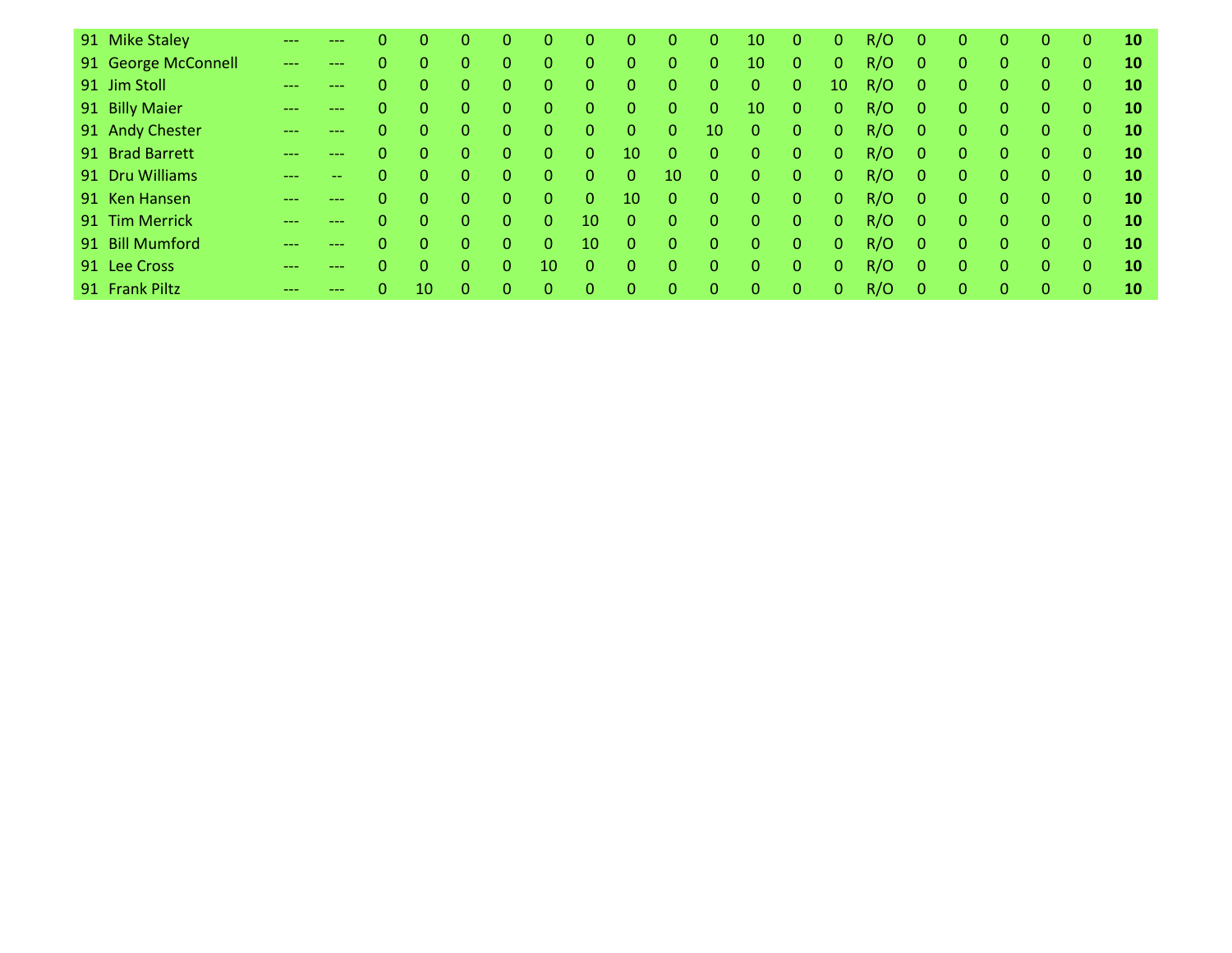| 91 Mike Staley      |       |                   |          | 0            | O. | 0              |              | $\Omega$       | 0            | 0              | $\mathbf{0}$    | 10             | 0            | $\overline{0}$ | R/O | $\mathbf{0}$   | 0        | $\Omega$       | 0        | $\mathbf{0}$ | 10 |
|---------------------|-------|-------------------|----------|--------------|----|----------------|--------------|----------------|--------------|----------------|-----------------|----------------|--------------|----------------|-----|----------------|----------|----------------|----------|--------------|----|
| 91 George McConnell | $---$ | $\qquad \qquad -$ |          | 0            | 0. | $\mathbf{0}$   | 0            | $\overline{0}$ | 0            | $\mathbf{0}$   | $\mathbf{0}$    | 10             | 0            | $\overline{0}$ | R/O | $\overline{0}$ | 0        | $\mathbf{0}$   | 0        | $\mathbf{0}$ | 10 |
| 91 Jim Stoll        |       | ---               | 0        | 0            | 0. | $\overline{0}$ | 0            | $\overline{0}$ | 0            | $\overline{0}$ | $\mathbf{0}$    | $\mathbf{0}$   | 0            | 10             | R/O | $\overline{0}$ | 0        | $\Omega$       | 0        | $\Omega$     | 10 |
| 91 Billy Maier      |       |                   | 0        | $\Omega$     | 0. | $\Omega$       | $\Omega$     | $\overline{0}$ | 0            | $\overline{0}$ | $\mathbf{0}$    | 10             | 0            | $\overline{0}$ | R/O | $\Omega$       | 0        | $\Omega$       | $\Omega$ | $\Omega$     | 10 |
| 91 Andy Chester     |       |                   | $\Omega$ | $\Omega$     | 0  | $\Omega$       | $\mathbf{0}$ | $\overline{0}$ | 0            | $\overline{0}$ | 10 <sup>1</sup> | $\overline{0}$ | $\mathbf{0}$ | $\overline{0}$ | R/O | $\Omega$       | $\Omega$ | $\Omega$       | $\Omega$ | $\Omega$     | 10 |
| 91 Brad Barrett     |       |                   | 0        | $\Omega$     | 0. | $\Omega$       | $\Omega$     | $\overline{0}$ | 10           | $\Omega$       | $\mathbf{0}$    | $\mathbf{0}$   | $\mathbf{0}$ | $\overline{0}$ | R/O | $\Omega$       | $\Omega$ | $\Omega$       | $\Omega$ | $\Omega$     | 10 |
| 91 Dru Williams     |       | --                | 0        | $\mathbf{0}$ | 0. | $\Omega$       | $\Omega$     | $\overline{0}$ | $\mathbf{0}$ | 10             | $\mathbf{0}$    | $\mathbf{0}$   | $\mathbf{0}$ | $\overline{0}$ | R/O | $\Omega$       | $\Omega$ | $\Omega$       | $\Omega$ | $\Omega$     | 10 |
| 91 Ken Hansen       |       | ---               | 0.       | $\Omega$     | 0. | 0              | $\Omega$     | $\Omega$       | 10           | $\Omega$       | $\mathbf{0}$    | $\mathbf{0}$   | 0            | $\overline{0}$ | R/O | $\Omega$       | $\Omega$ | $\Omega$       | $\Omega$ | $\Omega$     | 10 |
| 91 Tim Merrick      |       |                   | 0        | $\Omega$     | 0. | 0              | $\Omega$     | 10             | 0            | $\Omega$       | $\mathbf{0}$    | $\mathbf{0}$   | 0            | $\overline{0}$ | R/O | $\Omega$       | 0        | $\Omega$       | $\Omega$ | $\Omega$     | 10 |
| 91 Bill Mumford     |       | ---               | 0        | $\Omega$     | 0. | $\Omega$       | 0            | 10             | 0            | $\Omega$       | $\mathbf{0}$    | $\overline{0}$ | $\Omega$     | $\overline{0}$ | R/O | $\Omega$       | 0        | $\Omega$       | $\Omega$ | $\Omega$     | 10 |
| 91 Lee Cross        | ---   | ---               |          | $\Omega$     | 0. | $\Omega$       | 10           | $\overline{0}$ | 0            | $\Omega$       | $\mathbf{0}$    | $\Omega$       | $\mathbf{0}$ | $\overline{0}$ | R/O | $\Omega$       | 0        | $\Omega$       | $\Omega$ | $\Omega$     | 10 |
| 91 Frank Piltz      |       |                   | 0        | 10           | 0. | $\Omega$       | $\Omega$     | $\mathbf{0}$   | 0            | $\overline{0}$ | $\mathbf{0}$    | $\mathbf{0}$   | $\mathbf{0}$ | $\overline{0}$ | R/O | $\Omega$       | $\Omega$ | $\overline{0}$ | $\Omega$ | $\Omega$     | 10 |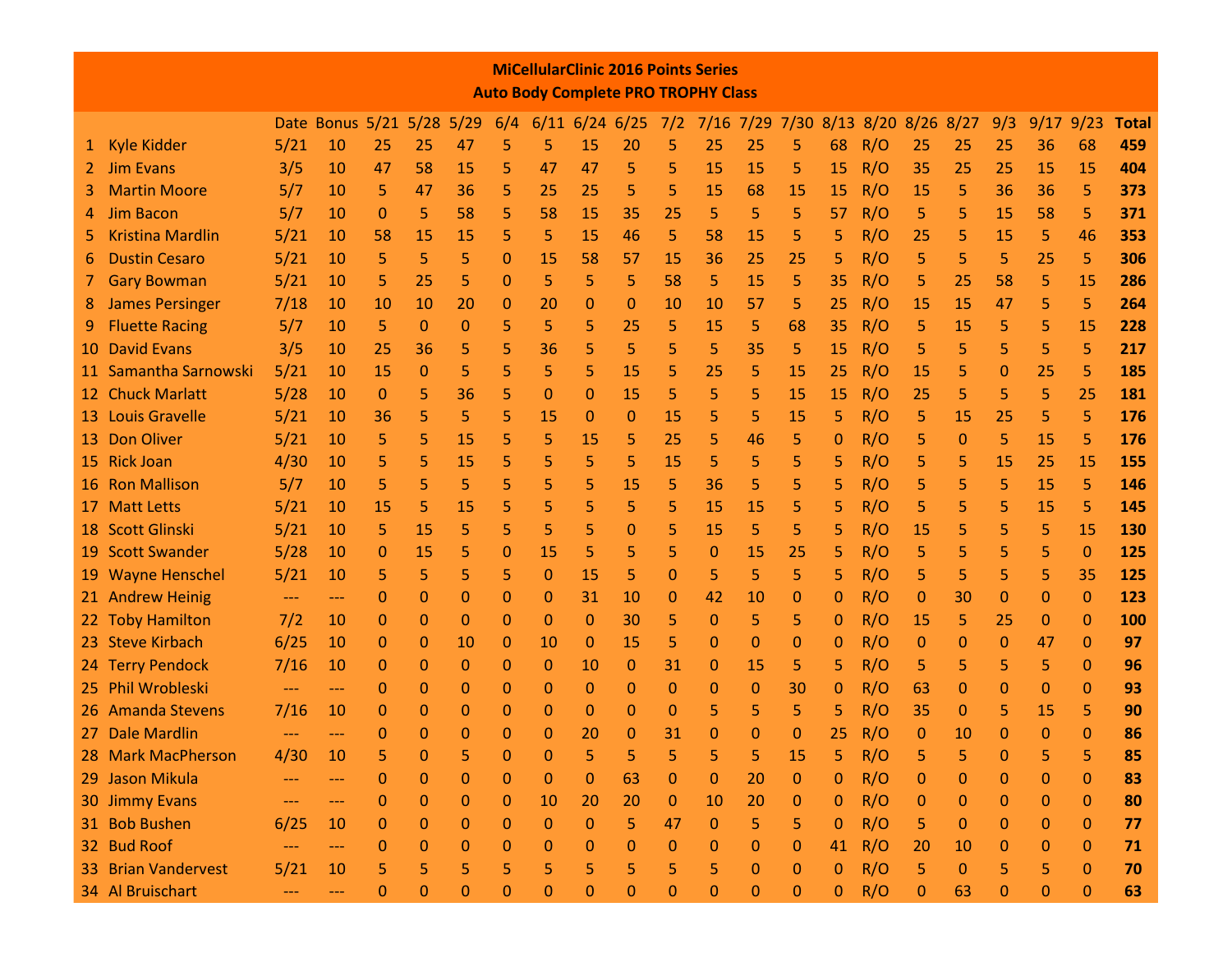|     |                                                                                                                                                                                                                                                                          |               |                           |              |                |    |          | <b>MiCellularClinic 2016 Points Series</b><br><b>Auto Body Complete PRO TROPHY Class</b> |                  |                  |              |                     |          |                  |              |     |                      |              |              |              |              |              |
|-----|--------------------------------------------------------------------------------------------------------------------------------------------------------------------------------------------------------------------------------------------------------------------------|---------------|---------------------------|--------------|----------------|----|----------|------------------------------------------------------------------------------------------|------------------|------------------|--------------|---------------------|----------|------------------|--------------|-----|----------------------|--------------|--------------|--------------|--------------|--------------|
|     |                                                                                                                                                                                                                                                                          |               | Date Bonus 5/21 5/28 5/29 |              |                |    | 6/4      |                                                                                          | $6/11$ 6/24 6/25 |                  | 7/2          | 7/16 7/29 7/30 8/13 |          |                  |              |     | $8/20$ $8/26$ $8/27$ |              | 9/3          |              | $9/17$ 9/23  | <b>Total</b> |
| 1.  | <b>Kyle Kidder</b>                                                                                                                                                                                                                                                       | 5/21          | 10                        | 25           | 25             | 47 | 5        | 5                                                                                        | 15               | 20               | 5            | 25                  | 25       | 5                | 68           | R/O | 25                   | 25           | 25           | 36           | 68           | 459          |
| 2.  | <b>Jim Evans</b>                                                                                                                                                                                                                                                         | 3/5           | 10                        | 47           | 58             | 15 | 5        | 47                                                                                       | 47               | 5                | 5            | 15                  | 15       | 5                | 15           | R/O | 35                   | 25           | 25           | 15           | 15           | 404          |
| 3.  | <b>Martin Moore</b>                                                                                                                                                                                                                                                      | 5/7           | 10                        | 5            | 47             | 36 | 5        | 25                                                                                       | 25               | 5                | 5            | 15                  | 68       | 15               | 15           | R/O | 15                   | 5            | 36           | 36           | 5            | 373          |
|     | <b>Jim Bacon</b>                                                                                                                                                                                                                                                         | 5/7           | 10                        | $\mathbf{0}$ | 5              | 58 | 5        | 58                                                                                       | 15               | 35               | 25           | 5                   | 5        | 5                | 57           | R/O | 5                    | 5            | 15           | 58           | 5            | 371          |
|     | <b>Kristina Mardlin</b>                                                                                                                                                                                                                                                  | 5/21          | 10                        | 58           | 15             | 15 | 5        | 5                                                                                        | 15               | 46               | 5            | 58                  | 15       | 5                | 5            | R/O | 25                   | 5            | 15           | 5            | 46           | 353          |
|     | <b>Dustin Cesaro</b>                                                                                                                                                                                                                                                     | 5/21          | 10                        | 5            | 5              | 5  | 0        | 15                                                                                       | 58               | 57               | 15           | 36                  | 25       | 25               | 5            | R/O | 5                    | 5            | 5            | 25           | 5            | 306          |
|     | <b>Gary Bowman</b>                                                                                                                                                                                                                                                       | 5/21          | 10                        | 5            | 25             | 5  | 0        | 5                                                                                        | 5                | 5                | 58           | 5                   | 15       | 5                | 35           | R/O | 5                    | 25           | 58           | 5            | 15           | 286          |
| 8   | <b>James Persinger</b>                                                                                                                                                                                                                                                   | 7/18          | 10                        | 10           | 10             | 20 | 0        | 20                                                                                       | 0                | 0                | 10           | 10                  | 57       | 5                | 25           | R/O | 15                   | 15           | 47           | 5            | 5            | 264          |
|     | <b>Fluette Racing</b><br>68<br>R/O<br>5/7<br>10<br>5<br>0<br>0<br>5<br>5<br>5<br>25<br>5<br>15<br>5<br>5<br>15<br>5<br>5<br>15<br>35<br>5<br><b>David Evans</b><br>5<br>5<br>5<br>5<br>5<br>5<br>5<br>5<br>5<br>5<br>3/5<br>25<br>36<br>5<br>36<br>35<br>15<br>R/O<br>10 |               |                           |              |                |    |          |                                                                                          |                  |                  |              |                     |          |                  |              | 228 |                      |              |              |              |              |              |
| 10  | 5<br>Samantha Sarnowski<br>5/21<br>5<br>5<br>5<br>R/O<br>15<br>0<br>5<br>15<br>5<br>25<br>5<br>15<br>15<br>5<br>25<br>10<br>25<br>0                                                                                                                                      |               |                           |              |                |    |          |                                                                                          |                  |                  |              |                     |          |                  |              | 217 |                      |              |              |              |              |              |
| 11. | 5<br>5<br>5<br>5<br>5<br>5<br>5<br><b>Chuck Marlatt</b><br>5/28<br>36<br>5<br>15<br>15<br>15<br>25<br>25<br>10<br>$\mathbf{0}$<br>$\mathbf 0$<br>0                                                                                                                       |               |                           |              |                |    |          |                                                                                          |                  |                  |              |                     |          |                  | 185          |     |                      |              |              |              |              |              |
| 12. | R/O                                                                                                                                                                                                                                                                      |               |                           |              |                |    |          |                                                                                          |                  |                  |              |                     |          |                  | 181          |     |                      |              |              |              |              |              |
| 13  | <b>Louis Gravelle</b>                                                                                                                                                                                                                                                    | 5/21          | 10                        | 36           | 5              | 5  | 5        | 15                                                                                       | 0                | 0                | 15           | 5                   | 5        | 15               | 5            | R/O | 5                    | <b>15</b>    | 25           | 5            | 5            | 176          |
| 13. | <b>Don Oliver</b>                                                                                                                                                                                                                                                        | 5/21          | 10                        | 5            | 5              | 15 | 5        | 5                                                                                        | 15               | 5                | 25           | 5                   | 46       | 5                | 0            | R/O | 5                    | $\mathbf{0}$ | 5            | 15           | 5            | 176          |
| 15  | <b>Rick Joan</b>                                                                                                                                                                                                                                                         | 4/30          | 10                        | 5            | 5              | 15 | 5        | 5                                                                                        | 5                | 5                | 15           | 5                   | 5        | 5                | 5            | R/O | 5                    | 5            | 15           | 25           | 15           | 155          |
| 16  | <b>Ron Mallison</b>                                                                                                                                                                                                                                                      | 5/7           | 10                        | 5            | 5              | 5  | 5        | 5                                                                                        | 5                | 15               | 5            | 36                  | 5        | 5                | 5            | R/O | 5                    | 5            | 5            | 15           | 5            | 146          |
| 17  | <b>Matt Letts</b>                                                                                                                                                                                                                                                        | 5/21          | 10                        | 15           | 5              | 15 | 5        | 5                                                                                        | 5                | 5                | 5            | 15                  | 15       | 5                | 5            | R/O | 5                    | 5            | 5            | 15           | 5            | 145          |
| 18  | <b>Scott Glinski</b>                                                                                                                                                                                                                                                     | 5/21          | 10                        | 5            | 15             | 5  | 5        | 5                                                                                        | 5                | 0                | 5            | 15                  | 5        | 5                | 5            | R/O | 15                   | 5            | 5            | 5            | 15           | 130          |
| 19  | <b>Scott Swander</b>                                                                                                                                                                                                                                                     | 5/28          | 10                        | $\mathbf{0}$ | 15             | 5  | 0        | 15                                                                                       | 5                | 5                | 5            | $\mathbf 0$         | 15       | 25               | 5            | R/O | 5                    | 5            | 5            | 5            | $\mathbf 0$  | 125          |
| 19  | <b>Wayne Henschel</b>                                                                                                                                                                                                                                                    | 5/21          | 10                        | 5            | 5              | 5  | 5        | $\mathbf 0$                                                                              | 15               | 5                | $\mathbf{0}$ | 5                   | 5        | 5                | 5            | R/O | 5                    | 5            | 5            | 5            | 35           | 125          |
|     | 21 Andrew Heinig                                                                                                                                                                                                                                                         | $---$         | $---$                     | 0            | 0              | 0  | 0        | $\mathbf 0$                                                                              | 31               | 10               | 0            | 42                  | 10       | 0                | 0            | R/O | 0                    | 30           | 0            | 0            | $\mathbf 0$  | 123          |
|     | 22 Toby Hamilton                                                                                                                                                                                                                                                         | 7/2           | 10                        | $\mathbf{0}$ | 0              | 0  | 0        | $\mathbf 0$                                                                              | 0                | 30               | 5            | $\mathbf{0}$        | 5        | 5                | 0            | R/O | 15                   | 5            | 25           | $\mathbf 0$  | $\mathbf 0$  | 100          |
|     | 23 Steve Kirbach                                                                                                                                                                                                                                                         | 6/25          | 10                        | 0            | 0              | 10 | 0        | 10                                                                                       | 0                | 15               | 5            | 0                   | 0        | 0                | 0            | R/O | 0                    | 0            | 0            | 47           | 0            | 97           |
|     | 24 Terry Pendock                                                                                                                                                                                                                                                         | 7/16          | 10                        | 0            | 0              | 0  | 0        | $\mathbf 0$                                                                              | 10               | $\mathbf 0$      | 31           | $\mathbf 0$         | 15       | 5                | 5            | R/O | 5                    | 5            | 5            | 5            | $\Omega$     | 96           |
| 25  | <b>Phil Wrobleski</b>                                                                                                                                                                                                                                                    | ---           | $---$                     | 0            | 0              | 0  | 0        | $\mathbf 0$                                                                              | 0                | $\mathbf 0$      | 0            | $\mathbf 0$         | 0        | 30               | 0            | R/O | 63                   | 0            | 0            | 0            | 0            | 93           |
| 26  | <b>Amanda Stevens</b>                                                                                                                                                                                                                                                    | 7/16          | 10                        | 0            | 0              | 0  | 0        | $\mathbf 0$                                                                              | 0                | $\mathbf 0$      | 0            | 5                   | 5        | 5                | 5            | R/O | 35                   | 0            | 5            | 15           | 5            | 90           |
|     | 27 Dale Mardlin                                                                                                                                                                                                                                                          | $\frac{1}{2}$ | $---$                     | 0            | 0              | 0  | 0        | 0                                                                                        | 20               | 0                | 31           | 0                   | 0        | 0                | 25           | R/O | 0                    | 10           | 0            | 0            | $\mathbf 0$  | 86           |
| 28  | <b>Mark MacPherson</b>                                                                                                                                                                                                                                                   | 4/30          | 10                        |              |                |    |          |                                                                                          |                  | 5                |              |                     | 5        | 15               |              | R/O |                      |              |              |              | 5            | 85           |
|     | 29 Jason Mikula                                                                                                                                                                                                                                                          |               |                           | 0            | 0              | 0  | 0        | $\mathbf 0$                                                                              | $\mathbf{0}$     | 63               | $\mathbf{0}$ | $\mathbf{0}$        | 20       | 0                | 0            | R/O | 0                    | 0            | 0            | $\mathbf{0}$ | $\mathbf 0$  | 83           |
|     | 30 Jimmy Evans                                                                                                                                                                                                                                                           | $---$         | $---$                     | 0            | 0              | 0  | $\Omega$ | 10                                                                                       | 20               | 20               | $\mathbf{0}$ | 10                  | 20       | 0                | 0            | R/O | $\mathbf 0$          | $\mathbf{0}$ | 0            | $\mathbf{0}$ | $\Omega$     | 80           |
|     | 31 Bob Bushen                                                                                                                                                                                                                                                            | 6/25          | 10                        | $\mathbf 0$  | 0              | 0  | 0        | $\mathbf{0}$                                                                             | $\mathbf{0}$     | 5                | 47           | $\mathbf{0}$        | 5        | 5                | $\mathbf{0}$ | R/O | 5.                   | $\Omega$     | $\mathbf{0}$ | $\Omega$     | $\Omega$     | 77           |
|     | 32 Bud Roof                                                                                                                                                                                                                                                              | $---$         | ---                       | 0            | 0              | 0  | $\Omega$ | $\Omega$                                                                                 | 0                | $\mathbf{0}$     | 0            | $\mathbf{0}$        | 0        | $\boldsymbol{0}$ | 41           | R/O | 20                   | 10           | 0            | $\mathbf{0}$ | $\mathbf 0$  | 71           |
|     | 33 Brian Vandervest                                                                                                                                                                                                                                                      | 5/21          | 10                        | 5            | 5              | 5  | 5        | 5                                                                                        | 5                | 5                | 5            | 5                   | $\Omega$ | $\mathbf 0$      | 0            | R/O | 5                    | $\mathbf{0}$ | 5            | 5            | $\mathbf 0$  | 70           |
|     | 34 Al Bruischart                                                                                                                                                                                                                                                         |               |                           | $\mathbf{0}$ | $\overline{0}$ | 0  | 0        | $\mathbf{0}$                                                                             | 0                | $\boldsymbol{0}$ | 0            | $\mathbf{0}$        | 0        | $\mathbf{0}$     | 0            | R/O | 0                    | 63           | $\mathbf 0$  | $\mathbf{0}$ | $\mathbf{0}$ | 63           |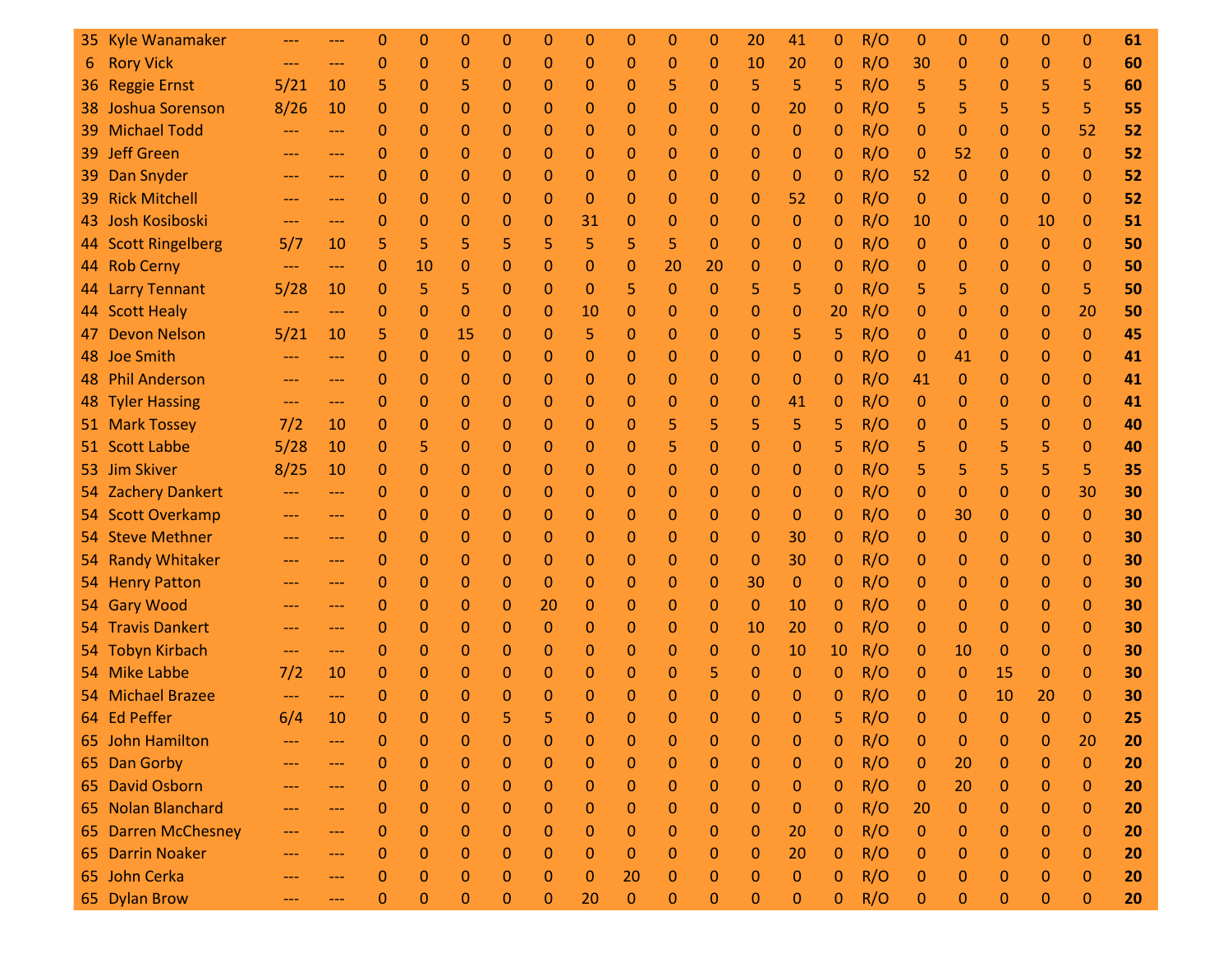|     | 35 Kyle Wanamaker    |                            |                     | 0           | $\Omega$     | 0              | 0           | 0            | $\Omega$     | 0            | 0            | $\Omega$     | 20           | 41               | 0           | R/O | 0            | 0           | $\mathbf{0}$ | 0        | $\mathbf 0$  | 61 |
|-----|----------------------|----------------------------|---------------------|-------------|--------------|----------------|-------------|--------------|--------------|--------------|--------------|--------------|--------------|------------------|-------------|-----|--------------|-------------|--------------|----------|--------------|----|
| 6   | <b>Rory Vick</b>     |                            | ---                 | 0           | $\mathbf{0}$ | $\mathbf 0$    | $\mathbf 0$ | $\mathbf 0$  | $\mathbf 0$  | 0            | 0            | 0            | 10           | 20               | 0           | R/O | 30           | 0           | 0            | 0        | $\mathbf 0$  | 60 |
|     | 36 Reggie Ernst      | 5/21                       | 10                  | 5           | $\mathbf{0}$ | 5              | 0           | $\mathbf 0$  | 0            | 0            | 5            | $\mathbf{0}$ | 5            | 5                | 5           | R/O | 5            | 5           | 0            | 5        | 5            | 60 |
|     | 38 Joshua Sorenson   | 8/26                       | 10                  | $\Omega$    | $\mathbf{0}$ | 0              | 0           | 0            | 0            | 0            | 0            | 0            | $\mathbf{0}$ | 20               | 0           | R/O | 5            | 5           | 5            | 5        | 5            | 55 |
| 39. | <b>Michael Todd</b>  | $---$                      | $---$               | 0           | $\mathbf 0$  | 0              | $\mathbf 0$ | $\mathbf 0$  | $\mathbf 0$  | 0            | 0            | $\mathbf{0}$ | $\mathbf{0}$ | 0                | 0           | R/O | 0            | 0           | 0            | 0        | 52           | 52 |
| 39  | <b>Jeff Green</b>    | $---$                      | ---                 | 0           | 0            | 0              | $\mathbf 0$ | 0            | 0            | 0            | 0            | $\mathbf{0}$ | $\mathbf{0}$ | $\mathbf{0}$     | 0           | R/O | 0            | 52          | 0            | 0        | $\mathbf{0}$ | 52 |
| 39. | Dan Snyder           | $---$                      | $---$               | $\mathbf 0$ | $\mathbf{0}$ | 0              | $\mathbf 0$ | $\mathbf 0$  | 0            | 0            | 0            | $\mathbf{0}$ | $\mathbf{0}$ | $\mathbf{0}$     | 0           | R/O | 52           | $\mathbf 0$ | 0            | $\Omega$ | $\mathbf 0$  | 52 |
| 39  | <b>Rick Mitchell</b> | $---$                      | $---$               | 0           | $\mathbf 0$  | 0              | 0           | $\mathbf 0$  | $\mathbf 0$  | 0            | 0            | $\mathbf{0}$ | $\mathbf 0$  | 52               | 0           | R/O | $\mathbf{0}$ | 0           | 0            | $\Omega$ | $\mathbf 0$  | 52 |
|     | 43 Josh Kosiboski    | $\qquad \qquad \text{---}$ | $\qquad \qquad - -$ | 0           | $\mathbf{0}$ | 0              | $\mathbf 0$ | 0            | 31           | 0            | 0            | $\mathbf{0}$ | $\mathbf{0}$ | $\mathbf{0}$     | 0           | R/O | 10           | 0           | 0            | 10       | $\mathbf 0$  | 51 |
|     | 44 Scott Ringelberg  | 5/7                        | 10                  | 5           | 5            | 5              | 5           | 5            | 5            | 5            | 5            | $\Omega$     | $\mathbf{0}$ | 0                | 0           | R/O | 0            | 0           | 0            | 0        | $\mathbf 0$  | 50 |
|     | 44 Rob Cerny         | $---$                      | ---                 | 0           | 10           | 0              | 0           | 0            | 0            | 0            | 20           | 20           | $\mathbf{0}$ | $\mathbf{0}$     | 0           | R/O | 0            | 0           | 0            | 0        | $\mathbf 0$  | 50 |
|     | 44 Larry Tennant     | 5/28                       | 10                  | 0           | 5            | 5              | $\mathbf 0$ | $\mathbf 0$  | $\mathbf{0}$ | 5            | $\mathbf{0}$ | $\mathbf{0}$ | 5            | 5                | 0           | R/O | 5            | 5           | 0            | 0        | 5            | 50 |
|     | 44 Scott Healy       | $---$                      | $---$               | 0           | $\mathbf{0}$ | 0              | 0           | 0            | 10           | 0            | 0            | 0            | $\mathbf{0}$ | 0                | 20          | R/O | 0            | 0           | 0            | 0        | 20           | 50 |
| 47  | <b>Devon Nelson</b>  | 5/21                       | 10                  | 5           | $\mathbf{0}$ | 15             | 0           | 0            | 5            | 0            | $\mathbf 0$  | 0            | $\mathbf{0}$ | 5                | 5           | R/O | 0            | 0           | 0            | 0        | $\mathbf{0}$ | 45 |
|     | 48 Joe Smith         | $---$                      | ---                 | 0           | 0            | 0              | 0           | 0            | 0            | 0            | 0            | 0            | $\mathbf{0}$ | $\mathbf{0}$     | 0           | R/O | 0            | 41          | 0            | 0        | $\mathbf 0$  | 41 |
|     | 48 Phil Anderson     | $---$                      | $---$               | 0           | $\mathbf{0}$ | 0              | $\mathbf 0$ | $\mathbf 0$  | 0            | 0            | 0            | $\mathbf{0}$ | $\mathbf{0}$ | $\mathbf{0}$     | 0           | R/O | 41           | 0           | 0            | 0        | $\mathbf 0$  | 41 |
|     | 48 Tyler Hassing     | $\qquad \qquad -$          | $\qquad \qquad - -$ | $\Omega$    | $\mathbf{0}$ | 0              | 0           | $\mathbf 0$  | $\mathbf 0$  | 0            | $\mathbf{0}$ | $\mathbf{0}$ | $\mathbf{0}$ | 41               | 0           | R/O | 0            | 0           | 0            | 0        | $\mathbf 0$  | 41 |
|     | 51 Mark Tossey       | 7/2                        | 10                  | $\Omega$    | $\mathbf{0}$ | 0              | $\mathbf 0$ | $\mathbf 0$  | $\mathbf 0$  | 0            | 5            | 5            | 5            | 5                | 5           | R/O | 0            | 0           | 5            | 0        | $\mathbf 0$  | 40 |
|     | 51 Scott Labbe       | 5/28                       | 10                  | $\Omega$    | 5            | 0              | $\mathbf 0$ | $\mathbf 0$  | 0            | 0            | 5            | $\mathbf{0}$ | $\Omega$     | 0                | 5           | R/O | 5            | 0           | 5            | 5        | $\Omega$     | 40 |
|     | 53 Jim Skiver        | 8/25                       | 10                  | 0           | $\mathbf 0$  | 0              | 0           | 0            | 0            | 0            | 0            | 0            | $\mathbf{0}$ | 0                | 0           | R/O | 5            | 5           | 5            | 5        | 5            | 35 |
|     | 54 Zachery Dankert   | $---$                      | $---$               | 0           | $\mathbf{0}$ | 0              | $\mathbf 0$ | 0            | 0            | 0            | 0            | 0            | $\mathbf{0}$ | $\mathbf{0}$     | 0           | R/O | 0            | 0           | 0            | $\Omega$ | 30           | 30 |
|     | 54 Scott Overkamp    | $---$                      | $---$               | 0           | $\mathbf 0$  | 0              | 0           | $\mathbf{0}$ | 0            | 0            | 0            | $\mathbf{0}$ | $\mathbf{0}$ | 0                | 0           | R/O | 0            | 30          | 0            | 0        | $\mathbf{0}$ | 30 |
|     | 54 Steve Methner     | $\qquad \qquad -$          | $\qquad \qquad - -$ | $\Omega$    | $\mathbf{0}$ | 0              | $\mathbf 0$ | 0            | 0            | 0            | 0            | $\mathbf{0}$ | $\mathbf{0}$ | 30               | 0           | R/O | 0            | 0           | 0            | 0        | $\mathbf 0$  | 30 |
|     | 54 Randy Whitaker    | $---$                      | $---$               | 0           | $\mathbf{0}$ | $\overline{0}$ | $\mathbf 0$ | $\mathbf{0}$ | $\mathbf 0$  | 0            | $\mathbf{0}$ | $\mathbf{0}$ | $\mathbf{0}$ | 30               | 0           | R/O | 0            | 0           | 0            | 0        | $\mathbf 0$  | 30 |
|     | 54 Henry Patton      | $---$                      | ---                 | 0           | $\mathbf{0}$ | 0              | $\mathbf 0$ | $\mathbf 0$  | 0            | 0            | 0            | $\mathbf{0}$ | 30           | $\mathbf{0}$     | 0           | R/O | 0            | 0           | 0            | 0        | $\mathbf 0$  | 30 |
|     | 54 Gary Wood         | $---$                      | $---$               | $\mathbf 0$ | $\mathbf{0}$ | 0              | $\mathbf 0$ | 20           | 0            | 0            | 0            | $\mathbf{0}$ | $\Omega$     | 10               | 0           | R/O | 0            | 0           | 0            | $\Omega$ | $\Omega$     | 30 |
|     | 54 Travis Dankert    | $---$                      | $---$               | 0           | $\mathbf{0}$ | 0              | $\mathbf 0$ | $\mathbf{0}$ | 0            | 0            | 0            | $\mathbf{0}$ | 10           | 20               | 0           | R/O | 0            | 0           | 0            | 0        | $\mathbf 0$  | 30 |
|     | 54 Tobyn Kirbach     | $---$                      | $\qquad \qquad - -$ | 0           | $\mathbf{0}$ | 0              | 0           | 0            | 0            | 0            | 0            | 0            | $\mathbf{0}$ | 10               | 10          | R/O | 0            | 10          | 0            | 0        | $\mathbf 0$  | 30 |
|     | 54 Mike Labbe        | 7/2                        | 10                  | 0           | $\mathbf{0}$ | 0              | 0           | $\mathbf 0$  | 0            | 0            | 0            | 5            | $\mathbf{0}$ | $\mathbf{0}$     | 0           | R/O | 0            | 0           | 15           | 0        | $\mathbf 0$  | 30 |
|     | 54 Michael Brazee    | $---$                      | $\qquad \qquad - -$ | 0           | $\mathbf 0$  | 0              | 0           | 0            | 0            | 0            | 0            | 0            | $\mathbf{0}$ | $\mathbf{0}$     | 0           | R/O | 0            | 0           | 10           | 20       | $\mathbf 0$  | 30 |
|     | 64 Ed Peffer         | 6/4                        | 10                  | O           | $\Omega$     | $\Omega$       | 5           | 5            | $\Omega$     | n            | O            | O            | $\Omega$     | $\Omega$         | 5           | R/O | ⋂            | $\Omega$    | $\Omega$     | $\Omega$ | $\Omega$     | 25 |
|     | 65 John Hamilton     |                            |                     | 0           | $\mathbf 0$  | 0              | 0           | $\mathbf 0$  | 0            | $\mathbf{0}$ | $\mathbf 0$  | 0            | $\mathbf 0$  | 0                | 0           | R/O | $\mathbf 0$  | 0           | 0            | 0        | 20           | 20 |
|     | 65 Dan Gorby         | $---$                      | $---$               | 0           | $\bf 0$      | $\mathbf 0$    | 0           | $\mathbf 0$  | 0            | 0            | 0            | 0            | $\mathbf 0$  | $\boldsymbol{0}$ | $\mathbf 0$ | R/O | $\mathbf 0$  | 20          | 0            | 0        | $\mathbf{0}$ | 20 |
|     | 65 David Osborn      | $---$                      | ---                 | $\mathbf 0$ | $\bf 0$      | $\mathbf 0$    | 0           | $\mathbf 0$  | 0            | 0            | 0            | 0            | $\mathbf 0$  | $\boldsymbol{0}$ | $\mathbf 0$ | R/O | $\mathbf{0}$ | 20          | 0            | 0        | $\mathbf{0}$ | 20 |
|     | 65 Nolan Blanchard   | $---$                      | $---$               | $\Omega$    | $\mathbf{0}$ | $\mathbf 0$    | $\mathbf 0$ | $\mathbf 0$  | 0            | 0            | 0            | 0            | $\mathbf{0}$ | $\mathbf{0}$     | 0           | R/O | 20           | 0           | 0            | 0        | $\mathbf 0$  | 20 |
|     | 65 Darren McChesney  | $---$                      | ---                 | 0           | $\mathbf{0}$ | $\mathbf 0$    | $\mathbf 0$ | $\mathbf 0$  | 0            | 0            | 0            | $\mathbf{0}$ | $\mathbf 0$  | 20               | $\mathbf 0$ | R/O | $\mathbf{0}$ | 0           | 0            | 0        | $\mathbf{0}$ | 20 |
|     | 65 Darrin Noaker     | $---$                      |                     | $\Omega$    | $\mathbf{0}$ | $\Omega$       | $\mathbf 0$ | 0            | 0            | $\mathbf{0}$ | 0            | $\mathbf{0}$ | $\mathbf{0}$ | 20               | 0           | R/O | 0            | 0           | 0            | 0        | $\mathbf{0}$ | 20 |
|     | 65 John Cerka        | $\qquad \qquad -$          | ---                 | $\Omega$    | $\mathbf{0}$ | $\mathbf 0$    | $\mathbf 0$ | $\mathbf{0}$ | 0            | 20           | $\mathbf{0}$ | 0            | $\mathbf 0$  | $\boldsymbol{0}$ | 0           | R/O | $\mathbf 0$  | 0           | 0            | 0        | $\mathbf{0}$ | 20 |
|     | 65 Dylan Brow        | ---                        | ---                 | $\mathbf 0$ | 0            | $\mathbf 0$    | 0           | $\mathbf{0}$ | 20           | 0            | 0            | 0            | $\mathbf{0}$ | 0                | 0           | R/O | 0            | 0           | 0            | 0        | $\mathbf{0}$ | 20 |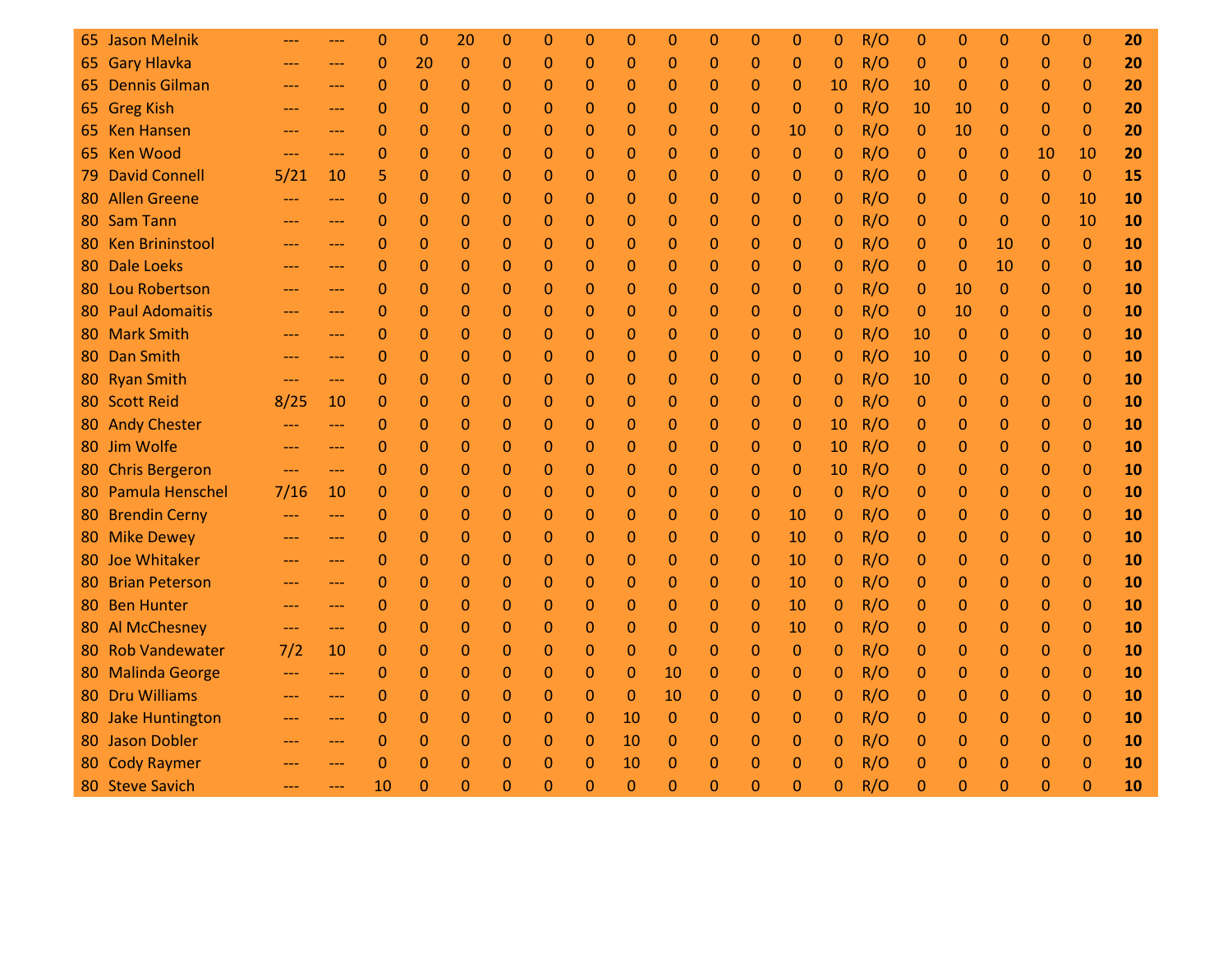|     | 65 Jason Melnik        |                     |                     | 0            | $\Omega$       | 20             | $\Omega$    | $\Omega$     | 0            | $\Omega$     | $\Omega$     | $\Omega$     | $\Omega$     | 0            | $\Omega$ | R/O | $\Omega$     | 0              | $\Omega$     | $\Omega$     | $\mathbf{0}$   | 20 |
|-----|------------------------|---------------------|---------------------|--------------|----------------|----------------|-------------|--------------|--------------|--------------|--------------|--------------|--------------|--------------|----------|-----|--------------|----------------|--------------|--------------|----------------|----|
|     | 65 Gary Hlavka         |                     | ---                 | $\mathbf 0$  | 20             | 0              | $\mathbf 0$ | $\mathbf 0$  | 0            | 0            | $\Omega$     | $\mathbf 0$  | $\Omega$     | 0            | $\Omega$ | R/O | 0            | 0              | 0            | 0            | $\mathbf 0$    | 20 |
|     | 65 Dennis Gilman       | $---$               | ---                 | $\mathbf{0}$ | $\overline{0}$ | 0              | 0           | $\mathbf 0$  | 0            | $\mathbf{0}$ | $\Omega$     | 0            | 0            | 0            | 10       | R/O | 10           | $\mathbf{0}$   | $\mathbf{0}$ | $\mathbf{0}$ | $\mathbf{0}$   | 20 |
|     | 65 Greg Kish           | $---$               | ---                 | 0            | 0              | 0              | 0           | 0            | 0            | 0            | $\mathbf{0}$ | $\mathbf 0$  | $\Omega$     | 0            | 0        | R/O | 10           | 10             | $\mathbf{0}$ | $\Omega$     | $\Omega$       | 20 |
|     | 65 Ken Hansen          | $\qquad \qquad - -$ | $---$               | $\mathbf{0}$ | $\mathbf{0}$   | 0              | 0           | $\mathbf 0$  | $\mathbf{0}$ | 0            | $\Omega$     | $\mathbf{0}$ | 0            | 10           | 0        | R/O | $\theta$     | 10             | $\mathbf{0}$ | $\mathbf{0}$ | $\mathbf{0}$   | 20 |
|     | 65 Ken Wood            | $---$               | ---                 | $\Omega$     | 0              | 0              | 0           | $\mathbf{0}$ | 0            | 0            | $\Omega$     | 0            | 0            | 0            | 0        | R/O | $\mathbf 0$  | $\mathbf{0}$   | $\mathbf{0}$ | 10           | 10             | 20 |
| 79. | <b>David Connell</b>   | 5/21                | 10                  | 5            | 0              | 0              | $\Omega$    | 0            | 0            | 0            | $\Omega$     | $\Omega$     | $\Omega$     | 0            | 0        | R/O | 0            | 0              | 0            | $\Omega$     | $\Omega$       | 15 |
| 80  | <b>Allen Greene</b>    | $---$               | ---                 | $\mathbf{0}$ | $\mathbf 0$    | 0              | 0           | $\mathbf 0$  | 0            | 0            | $\mathbf{0}$ | 0            | 0            | 0            | 0        | R/O | 0            | 0              | 0            | $\mathbf{0}$ | 10             | 10 |
| 80  | Sam Tann               | $---$               | ---                 | 0            | 0              | $\overline{0}$ | 0           | 0            | 0            | 0            | $\Omega$     | $\mathbf{0}$ | $\Omega$     | 0            | 0        | R/O | 0            | $\mathbf{0}$   | $\Omega$     | $\Omega$     | 10             | 10 |
| 80  | <b>Ken Brininstool</b> | $\qquad \qquad -$   | ---                 | $\mathbf 0$  | 0              | 0              | 0           | $\mathbf 0$  | $\mathbf{0}$ | $\mathbf{0}$ | 0            | 0            | 0            | 0            | 0        | R/O | 0            | 0              | 10           | $\mathbf{0}$ | $\mathbf{0}$   | 10 |
| 80  | <b>Dale Loeks</b>      | $---$               | ---                 | $\Omega$     | 0              | 0              | 0           | $\mathbf{0}$ | 0            | 0            | $\mathbf{0}$ | $\mathbf 0$  | $\mathbf 0$  | 0            | 0        | R/O | $\mathbf 0$  | $\Omega$       | 10           | $\mathbf{0}$ | $\mathbf{0}$   | 10 |
| 80  | <b>Lou Robertson</b>   | $---$               | ---                 | 0            | 0              | $\Omega$       | $\Omega$    | 0            | 0            | 0            | $\mathbf{0}$ | $\Omega$     | $\Omega$     | 0            | 0        | R/O | $\mathbf 0$  | 10             | $\Omega$     | $\Omega$     | $\Omega$       | 10 |
| 80  | <b>Paul Adomaitis</b>  | $---$               | ---                 | $\mathbf 0$  | 0              | 0              | 0           | $\mathbf 0$  | 0            | $\mathbf{0}$ | $\mathbf{0}$ | $\mathbf{0}$ | $\mathbf{0}$ | 0            | 0        | R/O | 0            | 10             | $\mathbf{0}$ | $\mathbf{0}$ | $\mathbf{0}$   | 10 |
| 80  | <b>Mark Smith</b>      | $---$               | ---                 | 0            | 0              | 0              | $\Omega$    | $\mathbf{0}$ | 0            | $\mathbf 0$  | $\Omega$     | $\mathbf{0}$ | $\Omega$     | 0            | 0        | R/O | 10           | $\overline{0}$ | $\Omega$     | $\mathbf 0$  | $\Omega$       | 10 |
| 80  | Dan Smith              | $\qquad \qquad -$   | ---                 | $\mathbf 0$  | $\mathbf 0$    | 0              | 0           | $\mathbf 0$  | $\mathbf{0}$ | 0            | $\mathbf{0}$ | $\mathbf 0$  | 0            | 0            | 0        | R/O | 10           | 0              | 0            | $\mathbf{0}$ | $\mathbf 0$    | 10 |
|     | 80 Ryan Smith          | $\qquad \qquad -$   | ---                 | $\Omega$     | 0              | 0              | 0           | $\mathbf{0}$ | 0            | 0            | $\Omega$     | 0            | $\Omega$     | 0            | 0        | R/O | 10           | 0              | $\mathbf{0}$ | $\mathbf 0$  | $\mathbf{0}$   | 10 |
|     | 80 Scott Reid          | 8/25                | 10                  | $\Omega$     | 0              | 0              | $\Omega$    | 0            | 0            | 0            | $\Omega$     | $\mathbf{0}$ | $\Omega$     | $\mathbf{0}$ | 0        | R/O | $\mathbf{0}$ | 0              | 0            | $\Omega$     | $\mathbf{0}$   | 10 |
|     | 80 Andy Chester        | $\qquad \qquad -$   | ---                 | 0            | 0              | 0              | 0           | 0            | 0            | 0            | $\mathbf{0}$ | $\mathbf{0}$ | $\mathbf{0}$ | 0            | 10       | R/O | 0            | 0              | $\mathbf{0}$ | $\mathbf 0$  | $\mathbf{0}$   | 10 |
|     | 80 Jim Wolfe           | $---$               | ---                 | $\Omega$     | 0              | 0              | 0           | $\mathbf{0}$ | $\mathbf{0}$ | 0            | $\Omega$     | $\mathbf{0}$ | $\Omega$     | 0            | 10       | R/O | 0            | 0              | $\mathbf{0}$ | $\mathbf{0}$ | $\Omega$       | 10 |
| 80  | <b>Chris Bergeron</b>  | $\qquad \qquad -$   | ---                 | $\Omega$     | $\Omega$       | 0              | $\Omega$    | $\mathbf 0$  | 0            | 0            | $\Omega$     | $\mathbf{0}$ | $\Omega$     | $\Omega$     | 10       | R/O | $\mathbf 0$  | 0              | $\mathbf{0}$ | $\Omega$     | $\mathbf{0}$   | 10 |
| 80  | <b>Pamula Henschel</b> | 7/16                | 10                  | $\Omega$     | 0              | 0              | 0           | $\mathbf 0$  | 0            | 0            | $\mathbf{0}$ | 0            | $\Omega$     | 0            | $\Omega$ | R/O | $\mathbf{0}$ | 0              | $\mathbf{0}$ | $\mathbf{0}$ | $\mathbf{0}$   | 10 |
|     | 80 Brendin Cerny       | $\qquad \qquad - -$ | ---                 | 0            | $\overline{0}$ | 0              | 0           | 0            | 0            | 0            | $\Omega$     | $\mathbf{0}$ | $\Omega$     | 10           | 0        | R/O | $\mathbf{0}$ | 0              | $\mathbf{0}$ | $\Omega$     | $\mathbf{0}$   | 10 |
|     | 80 Mike Dewey          | $---$               | ---                 | 0            | 0              | 0              | 0           | 0            | 0            | 0            | $\mathbf{0}$ | $\mathbf{0}$ | $\mathbf{0}$ | 10           | 0        | R/O | 0            | 0              | $\mathbf{0}$ | $\mathbf{0}$ | $\mathbf{0}$   | 10 |
| 80  | Joe Whitaker           | $---$               | ---                 | $\mathbf 0$  | 0              | 0              | 0           | $\mathbf{0}$ | $\mathbf 0$  | $\mathbf 0$  | $\Omega$     | $\mathbf{0}$ | $\Omega$     | 10           | 0        | R/O | $\mathbf{0}$ | 0              | $\mathbf{0}$ | $\mathbf{0}$ | $\mathbf{0}$   | 10 |
| 80  | <b>Brian Peterson</b>  | $---$               | ---                 | 0            | 0              | 0              | 0           | $\mathbf 0$  | 0            | 0            | $\Omega$     | $\mathbf{0}$ | $\mathbf{0}$ | 10           | 0        | R/O | $\mathbf{0}$ | 0              | $\mathbf{0}$ | $\mathbf{0}$ | $\mathbf{0}$   | 10 |
| 80  | <b>Ben Hunter</b>      | $---$               | ---                 | $\mathbf 0$  | 0              | 0              | 0           | $\mathbf 0$  | 0            | 0            | $\mathbf{0}$ | $\mathbf{0}$ | $\mathbf{0}$ | 10           | 0        | R/O | 0            | 0              | $\mathbf{0}$ | $\mathbf{0}$ | $\mathbf{0}$   | 10 |
|     | 80 Al McChesney        | $---$               | ---                 | 0            | 0              | 0              | 0           | 0            | 0            | 0            | 0            | 0            | 0            | 10           | 0        | R/O | 0            | 0              | 0            | $\Omega$     | $\mathbf{0}$   | 10 |
| 80  | <b>Rob Vandewater</b>  | 7/2                 | 10                  | $\mathbf 0$  | 0              | 0              | 0           | 0            | 0            | 0            | $\mathbf{0}$ | $\mathbf{0}$ | 0            | 0            | 0        | R/O | 0            | 0              | 0            | $\mathbf{0}$ | $\mathbf{0}$   | 10 |
| 80  | <b>Malinda George</b>  | $\qquad \qquad - -$ | ---                 | 0            | 0              | 0              | 0           | $\mathbf{0}$ | 0            | $\mathbf 0$  | 10           | 0            | 0            | 0            | 0        | R/O | $\mathbf{0}$ | 0              | $\mathbf{0}$ | $\mathbf{0}$ | $\overline{0}$ | 10 |
| 80  | <b>Dru Williams</b>    | $---$               | ---                 | 0            | 0              | 0              | 0           | 0            | 0            | $\mathbf{0}$ | 10           | $\mathbf{0}$ | $\Omega$     | 0            | 0        | R/O | 0            | 0              | $\mathbf{0}$ | $\Omega$     | $\mathbf{0}$   | 10 |
|     | 80 Jake Huntington     | $---$               | ---                 | $\mathbf 0$  | 0              | 0              | 0           | $\mathbf 0$  | 0            | 10           | $\mathbf{0}$ | 0            | $\mathbf{0}$ | 0            | 0        | R/O | $\mathbf{0}$ | 0              | $\mathbf{0}$ | $\mathbf{0}$ | $\mathbf{0}$   | 10 |
|     | 80 Jason Dobler        | $---$               | ---                 | $\Omega$     | 0              | 0              | 0           | $\mathbf 0$  | 0            | 10           | $\mathbf{0}$ | $\mathbf{0}$ | $\mathbf{0}$ | 0            | 0        | R/O | 0            | 0              | $\mathbf{0}$ | $\mathbf{0}$ | $\mathbf{0}$   | 10 |
|     | 80 Cody Raymer         | $---$               | ---                 | $\Omega$     | $\overline{0}$ | 0              | $\Omega$    | $\Omega$     | 0            | 10           | $\Omega$     | $\mathbf 0$  | $\Omega$     | 0            | 0        | R/O | 0            | 0              | $\Omega$     | $\Omega$     | $\Omega$       | 10 |
|     | 80 Steve Savich        | $\qquad \qquad - -$ | $\qquad \qquad - -$ | 10           | $\Omega$       | 0              | $\Omega$    | $\Omega$     | $\Omega$     | $\Omega$     | $\Omega$     | $\Omega$     | $\Omega$     | $\Omega$     | $\Omega$ | R/O | $\Omega$     | $\Omega$       | 0            | $\Omega$     | $\Omega$       | 10 |